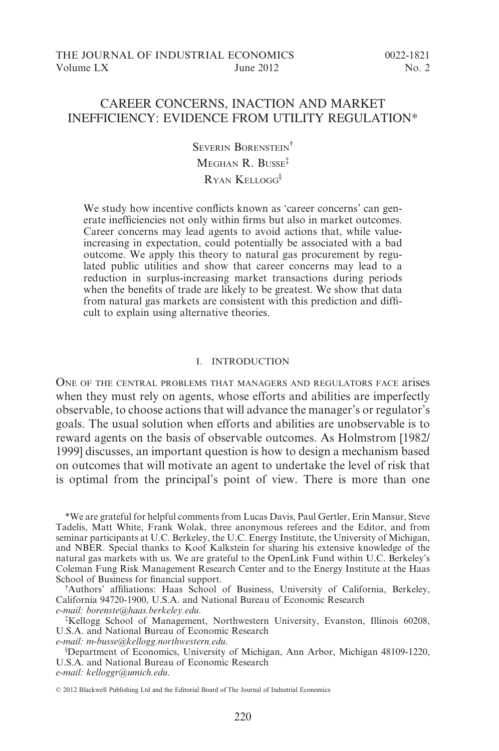# CAREER CONCERNS, INACTION AND MARKET INEFFICIENCY: EVIDENCE FROM UTILITY REGULATION\*

SEVERIN BORENSTEIN<sup>†</sup> MEGHAN R. BUSSE‡  $R$ YAN  $K$ ELLOGG<sup>§</sup>

We study how incentive conflicts known as 'career concerns' can generate inefficiencies not only within firms but also in market outcomes. Career concerns may lead agents to avoid actions that, while valueincreasing in expectation, could potentially be associated with a bad outcome. We apply this theory to natural gas procurement by regulated public utilities and show that career concerns may lead to a reduction in surplus-increasing market transactions during periods when the benefits of trade are likely to be greatest. We show that data from natural gas markets are consistent with this prediction and difficult to explain using alternative theories.

#### I. INTRODUCTION

ONE OF THE CENTRAL PROBLEMS THAT MANAGERS AND REGULATORS FACE arises when they must rely on agents, whose efforts and abilities are imperfectly observable, to choose actions that will advance the manager's or regulator's goals. The usual solution when efforts and abilities are unobservable is to reward agents on the basis of observable outcomes. As Holmstrom [1982/ 1999] discusses, an important question is how to design a mechanism based on outcomes that will motivate an agent to undertake the level of risk that is optimal from the principal's point of view. There is more than one

\*We are grateful for helpful comments from Lucas Davis, Paul Gertler, Erin Mansur, Steve Tadelis, Matt White, Frank Wolak, three anonymous referees and the Editor, and from seminar participants at U.C. Berkeley, the U.C. Energy Institute, the University of Michigan, and NBER. Special thanks to Koof Kalkstein for sharing his extensive knowledge of the natural gas markets with us. We are grateful to the OpenLink Fund within U.C. Berkeley's Coleman Fung Risk Management Research Center and to the Energy Institute at the Haas School of Business for financial support.

† Authors' affiliations: Haas School of Business, University of California, Berkeley, California 94720-1900, U.S.A. and National Bureau of Economic Research *e-mail: borenste@haas.berkeley.edu*. ‡

<sup>‡</sup>Kellogg School of Management, Northwestern University, Evanston, Illinois 60208, U.S.A. and National Bureau of Economic Research

*e-mail: m-busse@kellogg.northwestern.edu*. §

Department of Economics, University of Michigan, Ann Arbor, Michigan 48109-1220, U.S.A. and National Bureau of Economic Research *e-mail: kelloggr@umich.edu*.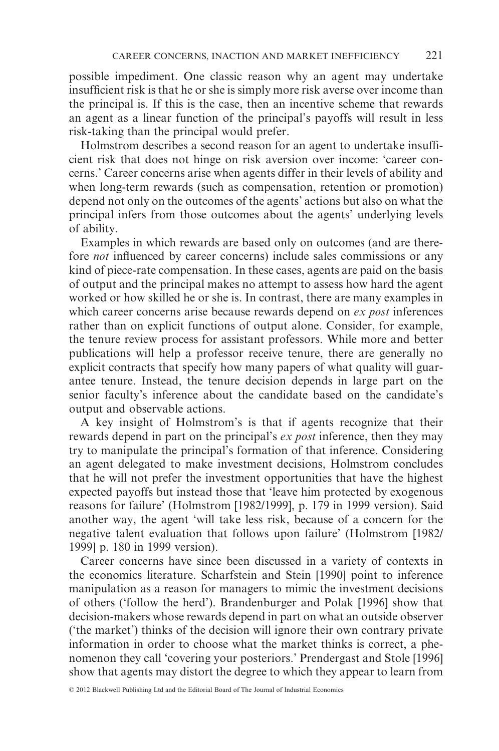possible impediment. One classic reason why an agent may undertake insufficient risk is that he or she is simply more risk averse over income than the principal is. If this is the case, then an incentive scheme that rewards an agent as a linear function of the principal's payoffs will result in less risk-taking than the principal would prefer.

Holmstrom describes a second reason for an agent to undertake insufficient risk that does not hinge on risk aversion over income: 'career concerns.' Career concerns arise when agents differ in their levels of ability and when long-term rewards (such as compensation, retention or promotion) depend not only on the outcomes of the agents' actions but also on what the principal infers from those outcomes about the agents' underlying levels of ability.

Examples in which rewards are based only on outcomes (and are therefore *not* influenced by career concerns) include sales commissions or any kind of piece-rate compensation. In these cases, agents are paid on the basis of output and the principal makes no attempt to assess how hard the agent worked or how skilled he or she is. In contrast, there are many examples in which career concerns arise because rewards depend on *ex post* inferences rather than on explicit functions of output alone. Consider, for example, the tenure review process for assistant professors. While more and better publications will help a professor receive tenure, there are generally no explicit contracts that specify how many papers of what quality will guarantee tenure. Instead, the tenure decision depends in large part on the senior faculty's inference about the candidate based on the candidate's output and observable actions.

A key insight of Holmstrom's is that if agents recognize that their rewards depend in part on the principal's *ex post* inference, then they may try to manipulate the principal's formation of that inference. Considering an agent delegated to make investment decisions, Holmstrom concludes that he will not prefer the investment opportunities that have the highest expected payoffs but instead those that 'leave him protected by exogenous reasons for failure' (Holmstrom [1982/1999], p. 179 in 1999 version). Said another way, the agent 'will take less risk, because of a concern for the negative talent evaluation that follows upon failure' (Holmstrom [1982/ 1999] p. 180 in 1999 version).

Career concerns have since been discussed in a variety of contexts in the economics literature. Scharfstein and Stein [1990] point to inference manipulation as a reason for managers to mimic the investment decisions of others ('follow the herd'). Brandenburger and Polak [1996] show that decision-makers whose rewards depend in part on what an outside observer ('the market') thinks of the decision will ignore their own contrary private information in order to choose what the market thinks is correct, a phenomenon they call 'covering your posteriors.' Prendergast and Stole [1996] show that agents may distort the degree to which they appear to learn from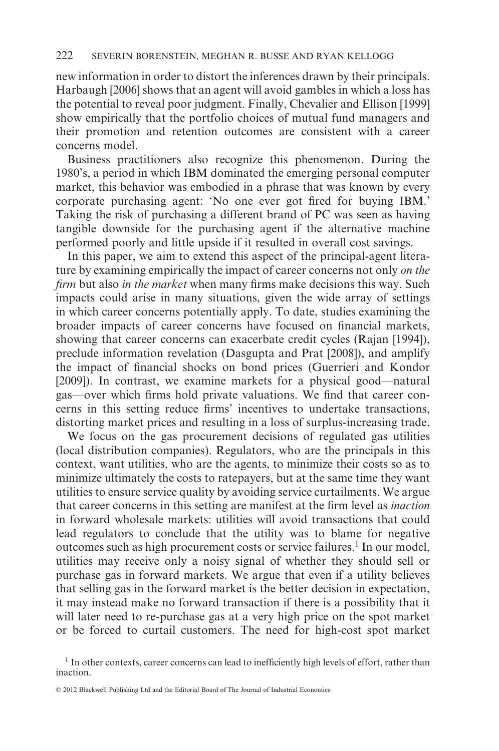new information in order to distort the inferences drawn by their principals. Harbaugh [2006] shows that an agent will avoid gambles in which a loss has the potential to reveal poor judgment. Finally, Chevalier and Ellison [1999] show empirically that the portfolio choices of mutual fund managers and their promotion and retention outcomes are consistent with a career concerns model.

Business practitioners also recognize this phenomenon. During the 1980's, a period in which IBM dominated the emerging personal computer market, this behavior was embodied in a phrase that was known by every corporate purchasing agent: 'No one ever got fired for buying IBM.' Taking the risk of purchasing a different brand of PC was seen as having tangible downside for the purchasing agent if the alternative machine performed poorly and little upside if it resulted in overall cost savings.

In this paper, we aim to extend this aspect of the principal-agent literature by examining empirically the impact of career concerns not only *on the firm* but also *in the market* when many firms make decisions this way. Such impacts could arise in many situations, given the wide array of settings in which career concerns potentially apply. To date, studies examining the broader impacts of career concerns have focused on financial markets, showing that career concerns can exacerbate credit cycles (Rajan [1994]), preclude information revelation (Dasgupta and Prat [2008]), and amplify the impact of financial shocks on bond prices (Guerrieri and Kondor [2009]). In contrast, we examine markets for a physical good—natural gas—over which firms hold private valuations. We find that career concerns in this setting reduce firms' incentives to undertake transactions, distorting market prices and resulting in a loss of surplus-increasing trade.

We focus on the gas procurement decisions of regulated gas utilities (local distribution companies). Regulators, who are the principals in this context, want utilities, who are the agents, to minimize their costs so as to minimize ultimately the costs to ratepayers, but at the same time they want utilities to ensure service quality by avoiding service curtailments. We argue that career concerns in this setting are manifest at the firm level as *inaction* in forward wholesale markets: utilities will avoid transactions that could lead regulators to conclude that the utility was to blame for negative outcomes such as high procurement costs or service failures.<sup>1</sup> In our model, utilities may receive only a noisy signal of whether they should sell or purchase gas in forward markets. We argue that even if a utility believes that selling gas in the forward market is the better decision in expectation, it may instead make no forward transaction if there is a possibility that it will later need to re-purchase gas at a very high price on the spot market or be forced to curtail customers. The need for high-cost spot market

 $<sup>1</sup>$  In other contexts, career concerns can lead to inefficiently high levels of effort, rather than</sup> inaction.

<sup>© 2012</sup> Blackwell Publishing Ltd and the Editorial Board of The Journal of Industrial Economics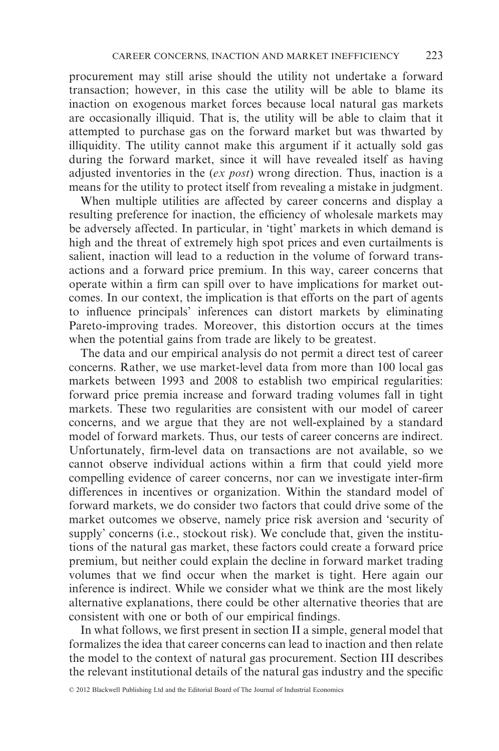procurement may still arise should the utility not undertake a forward transaction; however, in this case the utility will be able to blame its inaction on exogenous market forces because local natural gas markets are occasionally illiquid. That is, the utility will be able to claim that it attempted to purchase gas on the forward market but was thwarted by illiquidity. The utility cannot make this argument if it actually sold gas during the forward market, since it will have revealed itself as having adjusted inventories in the (*ex post*) wrong direction. Thus, inaction is a means for the utility to protect itself from revealing a mistake in judgment.

When multiple utilities are affected by career concerns and display a resulting preference for inaction, the efficiency of wholesale markets may be adversely affected. In particular, in 'tight' markets in which demand is high and the threat of extremely high spot prices and even curtailments is salient, inaction will lead to a reduction in the volume of forward transactions and a forward price premium. In this way, career concerns that operate within a firm can spill over to have implications for market outcomes. In our context, the implication is that efforts on the part of agents to influence principals' inferences can distort markets by eliminating Pareto-improving trades. Moreover, this distortion occurs at the times when the potential gains from trade are likely to be greatest.

The data and our empirical analysis do not permit a direct test of career concerns. Rather, we use market-level data from more than 100 local gas markets between 1993 and 2008 to establish two empirical regularities: forward price premia increase and forward trading volumes fall in tight markets. These two regularities are consistent with our model of career concerns, and we argue that they are not well-explained by a standard model of forward markets. Thus, our tests of career concerns are indirect. Unfortunately, firm-level data on transactions are not available, so we cannot observe individual actions within a firm that could yield more compelling evidence of career concerns, nor can we investigate inter-firm differences in incentives or organization. Within the standard model of forward markets, we do consider two factors that could drive some of the market outcomes we observe, namely price risk aversion and 'security of supply' concerns (i.e., stockout risk). We conclude that, given the institutions of the natural gas market, these factors could create a forward price premium, but neither could explain the decline in forward market trading volumes that we find occur when the market is tight. Here again our inference is indirect. While we consider what we think are the most likely alternative explanations, there could be other alternative theories that are consistent with one or both of our empirical findings.

In what follows, we first present in section II a simple, general model that formalizes the idea that career concerns can lead to inaction and then relate the model to the context of natural gas procurement. Section III describes the relevant institutional details of the natural gas industry and the specific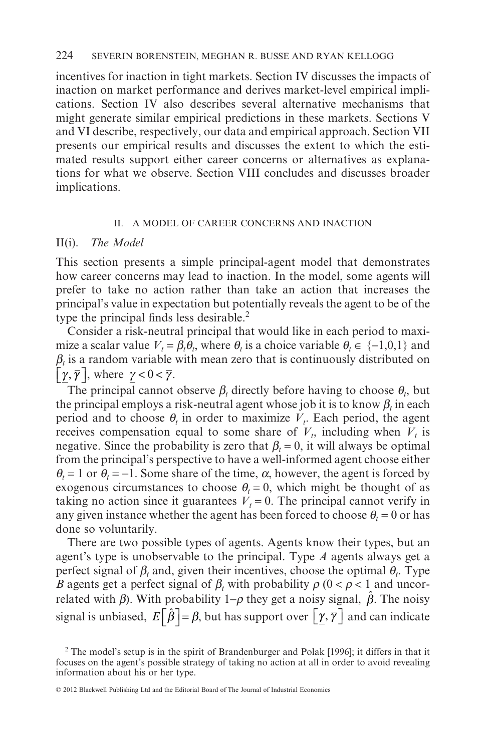incentives for inaction in tight markets. Section IV discusses the impacts of inaction on market performance and derives market-level empirical implications. Section IV also describes several alternative mechanisms that might generate similar empirical predictions in these markets. Sections V and VI describe, respectively, our data and empirical approach. Section VII presents our empirical results and discusses the extent to which the estimated results support either career concerns or alternatives as explanations for what we observe. Section VIII concludes and discusses broader implications.

#### II. A MODEL OF CAREER CONCERNS AND INACTION

#### II(i). *The Model*

This section presents a simple principal-agent model that demonstrates how career concerns may lead to inaction. In the model, some agents will prefer to take no action rather than take an action that increases the principal's value in expectation but potentially reveals the agent to be of the type the principal finds less desirable.<sup>2</sup>

Consider a risk-neutral principal that would like in each period to maximize a scalar value  $V_t = \beta_t \theta_t$ , where  $\theta_t$  is a choice variable  $\theta_t \in \{-1, 0, 1\}$  and  $\beta_t$  is a random variable with mean zero that is continuously distributed on  $\lfloor \underline{\gamma}, \overline{\gamma} \rfloor$ , where  $\underline{\gamma} < 0 < \overline{\gamma}$ .

The principal cannot observe  $\beta_t$  directly before having to choose  $\theta_t$ , but the principal employs a risk-neutral agent whose job it is to know  $\beta_t$  in each period and to choose  $\theta_t$  in order to maximize  $V_t$ . Each period, the agent receives compensation equal to some share of  $V_t$ , including when  $V_t$  is negative. Since the probability is zero that  $\beta_t = 0$ , it will always be optimal from the principal's perspective to have a well-informed agent choose either  $\theta_t = 1$  or  $\theta_t = -1$ . Some share of the time,  $\alpha$ , however, the agent is forced by exogenous circumstances to choose  $\theta_t = 0$ , which might be thought of as taking no action since it guarantees  $V_t = 0$ . The principal cannot verify in any given instance whether the agent has been forced to choose  $\theta_t = 0$  or has done so voluntarily.

There are two possible types of agents. Agents know their types, but an agent's type is unobservable to the principal. Type *A* agents always get a perfect signal of  $\beta$ , and, given their incentives, choose the optimal  $\theta$ . Type *B* agents get a perfect signal of  $\beta$ , with probability  $\rho$  (0 <  $\rho$  < 1 and uncorrelated with  $\beta$ ). With probability 1– $\rho$  they get a noisy signal,  $\hat{\beta}$ . The noisy signal is unbiased,  $E\left[\hat{\beta}\right] = \beta$ , but has support over  $\left[\underline{\gamma}, \overline{\gamma}\right]$  and can indicate

<sup>&</sup>lt;sup>2</sup> The model's setup is in the spirit of Brandenburger and Polak [1996]; it differs in that it focuses on the agent's possible strategy of taking no action at all in order to avoid revealing information about his or her type.

<sup>© 2012</sup> Blackwell Publishing Ltd and the Editorial Board of The Journal of Industrial Economics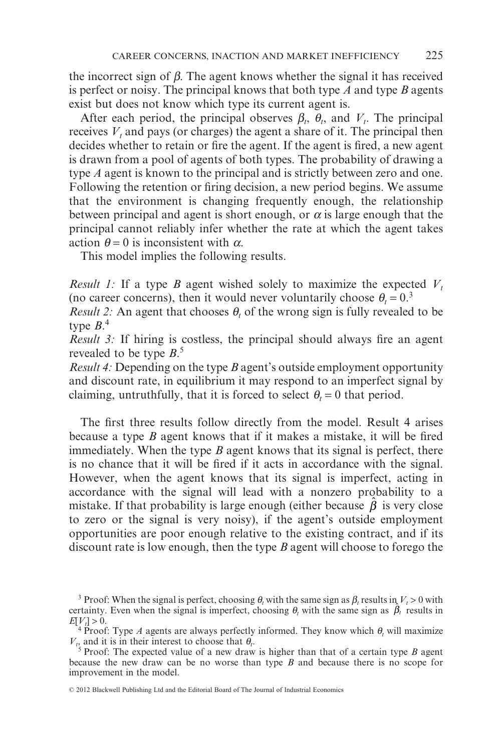the incorrect sign of  $\beta$ . The agent knows whether the signal it has received is perfect or noisy. The principal knows that both type *A* and type *B* agents exist but does not know which type its current agent is.

After each period, the principal observes  $\beta$ ,  $\theta$ , and *V*<sub>*t*</sub>. The principal receives  $V_t$ , and pays (or charges) the agent a share of it. The principal then decides whether to retain or fire the agent. If the agent is fired, a new agent is drawn from a pool of agents of both types. The probability of drawing a type *A* agent is known to the principal and is strictly between zero and one. Following the retention or firing decision, a new period begins. We assume that the environment is changing frequently enough, the relationship between principal and agent is short enough, or  $\alpha$  is large enough that the principal cannot reliably infer whether the rate at which the agent takes action  $\theta = 0$  is inconsistent with  $\alpha$ .

This model implies the following results.

*Result 1:* If a type *B* agent wished solely to maximize the expected  $V_t$ (no career concerns), then it would never voluntarily choose  $\theta_t = 0.3$ 

*Result 2:* An agent that chooses  $\theta$ , of the wrong sign is fully revealed to be type *B*. 4

*Result 3:* If hiring is costless, the principal should always fire an agent revealed to be type *B*. 5

*Result 4:* Depending on the type *B* agent's outside employment opportunity and discount rate, in equilibrium it may respond to an imperfect signal by claiming, untruthfully, that it is forced to select  $\theta_t = 0$  that period.

The first three results follow directly from the model. Result 4 arises because a type *B* agent knows that if it makes a mistake, it will be fired immediately. When the type *B* agent knows that its signal is perfect, there is no chance that it will be fired if it acts in accordance with the signal. However, when the agent knows that its signal is imperfect, acting in accordance with the signal will lead with a nonzero probability to a mistake. If that probability is large enough (either because  $\hat{\beta}$  is very close to zero or the signal is very noisy), if the agent's outside employment opportunities are poor enough relative to the existing contract, and if its discount rate is low enough, then the type *B* agent will choose to forego the

<sup>&</sup>lt;sup>3</sup> Proof: When the signal is perfect, choosing  $\theta$ , with the same sign as  $\beta$ , results in  $V_t > 0$  with certainty. Even when the signal is imperfect, choosing  $\theta_t$  with the same sign as  $\hat{\beta}_t$  results in  $E[V_t] > 0$ .<br><sup>4</sup> Proof: Type *A* agents are always perfectly informed. They know which  $\theta_t$  will maximize

 $V_t$ , and it is in their interest to choose that  $\theta_t$ .<br><sup>5</sup> Proof: The expected value of a new draw is higher than that of a certain type *B* agent

because the new draw can be no worse than type *B* and because there is no scope for improvement in the model.

<sup>© 2012</sup> Blackwell Publishing Ltd and the Editorial Board of The Journal of Industrial Economics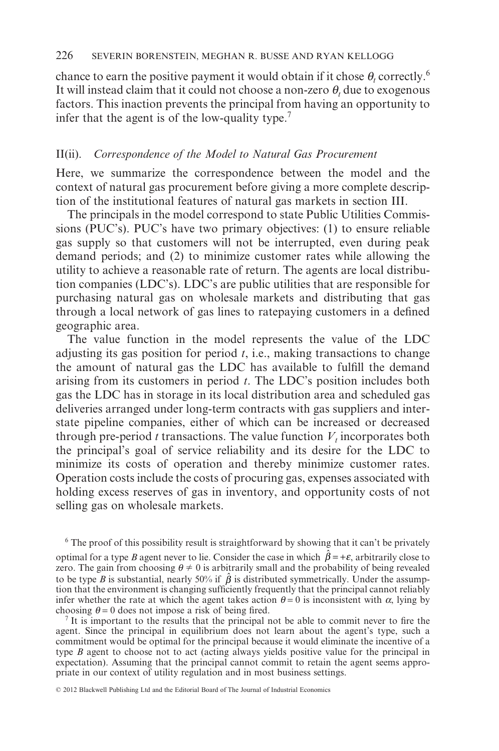chance to earn the positive payment it would obtain if it chose  $\theta_t$  correctly.<sup>6</sup> It will instead claim that it could not choose a non-zero  $\theta$ , due to exogenous factors. This inaction prevents the principal from having an opportunity to infer that the agent is of the low-quality type.<sup>7</sup>

# II(ii). *Correspondence of the Model to Natural Gas Procurement*

Here, we summarize the correspondence between the model and the context of natural gas procurement before giving a more complete description of the institutional features of natural gas markets in section III.

The principals in the model correspond to state Public Utilities Commissions (PUC's). PUC's have two primary objectives: (1) to ensure reliable gas supply so that customers will not be interrupted, even during peak demand periods; and (2) to minimize customer rates while allowing the utility to achieve a reasonable rate of return. The agents are local distribution companies (LDC's). LDC's are public utilities that are responsible for purchasing natural gas on wholesale markets and distributing that gas through a local network of gas lines to ratepaying customers in a defined geographic area.

The value function in the model represents the value of the LDC adjusting its gas position for period *t*, i.e., making transactions to change the amount of natural gas the LDC has available to fulfill the demand arising from its customers in period *t*. The LDC's position includes both gas the LDC has in storage in its local distribution area and scheduled gas deliveries arranged under long-term contracts with gas suppliers and interstate pipeline companies, either of which can be increased or decreased through pre-period  $t$  transactions. The value function  $V_t$  incorporates both the principal's goal of service reliability and its desire for the LDC to minimize its costs of operation and thereby minimize customer rates. Operation costs include the costs of procuring gas, expenses associated with holding excess reserves of gas in inventory, and opportunity costs of not selling gas on wholesale markets.

<sup>6</sup> The proof of this possibility result is straightforward by showing that it can't be privately optimal for a type *B* agent never to lie. Consider the case in which  $\hat{\beta} = +\varepsilon$ , arbitrarily close to zero. The gain from choosing  $\theta \neq 0$  is arbitrarily small and the probability of being revealed to be type *B* is substantial, nearly 50% if  $\hat{\beta}$  is distributed symmetrically. Under the assumption that the environment is changing sufficiently frequently that the principal cannot reliably infer whether the rate at which the agent takes action  $\theta = 0$  is inconsistent with  $\alpha$ , lying by choosing  $\theta = 0$  does not impose a risk of being fired.

 $\frac{7}{1}$  It is important to the results that the principal not be able to commit never to fire the agent. Since the principal in equilibrium does not learn about the agent's type, such a commitment would be optimal for the principal because it would eliminate the incentive of a type *B* agent to choose not to act (acting always yields positive value for the principal in expectation). Assuming that the principal cannot commit to retain the agent seems appropriate in our context of utility regulation and in most business settings.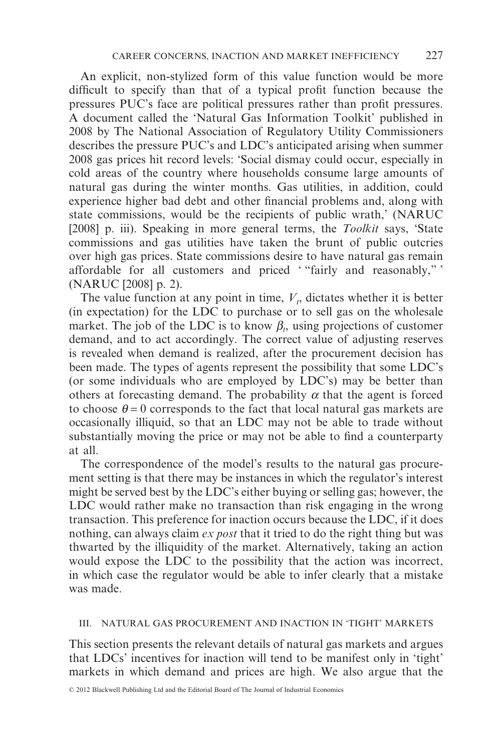An explicit, non-stylized form of this value function would be more difficult to specify than that of a typical profit function because the pressures PUC's face are political pressures rather than profit pressures. A document called the 'Natural Gas Information Toolkit' published in 2008 by The National Association of Regulatory Utility Commissioners describes the pressure PUC's and LDC's anticipated arising when summer 2008 gas prices hit record levels: 'Social dismay could occur, especially in cold areas of the country where households consume large amounts of natural gas during the winter months. Gas utilities, in addition, could experience higher bad debt and other financial problems and, along with state commissions, would be the recipients of public wrath,' (NARUC [2008] p. iii). Speaking in more general terms, the *Toolkit* says, 'State commissions and gas utilities have taken the brunt of public outcries over high gas prices. State commissions desire to have natural gas remain affordable for all customers and priced ' "fairly and reasonably," ' (NARUC [2008] p. 2).

The value function at any point in time,  $V_t$ , dictates whether it is better (in expectation) for the LDC to purchase or to sell gas on the wholesale market. The job of the LDC is to know  $\beta$ , using projections of customer demand, and to act accordingly. The correct value of adjusting reserves is revealed when demand is realized, after the procurement decision has been made. The types of agents represent the possibility that some LDC's (or some individuals who are employed by LDC's) may be better than others at forecasting demand. The probability  $\alpha$  that the agent is forced to choose  $\theta = 0$  corresponds to the fact that local natural gas markets are occasionally illiquid, so that an LDC may not be able to trade without substantially moving the price or may not be able to find a counterparty at all.

The correspondence of the model's results to the natural gas procurement setting is that there may be instances in which the regulator's interest might be served best by the LDC's either buying or selling gas; however, the LDC would rather make no transaction than risk engaging in the wrong transaction. This preference for inaction occurs because the LDC, if it does nothing, can always claim *ex post* that it tried to do the right thing but was thwarted by the illiquidity of the market. Alternatively, taking an action would expose the LDC to the possibility that the action was incorrect, in which case the regulator would be able to infer clearly that a mistake was made.

#### III. NATURAL GAS PROCUREMENT AND INACTION IN 'TIGHT' MARKETS

This section presents the relevant details of natural gas markets and argues that LDCs' incentives for inaction will tend to be manifest only in 'tight' markets in which demand and prices are high. We also argue that the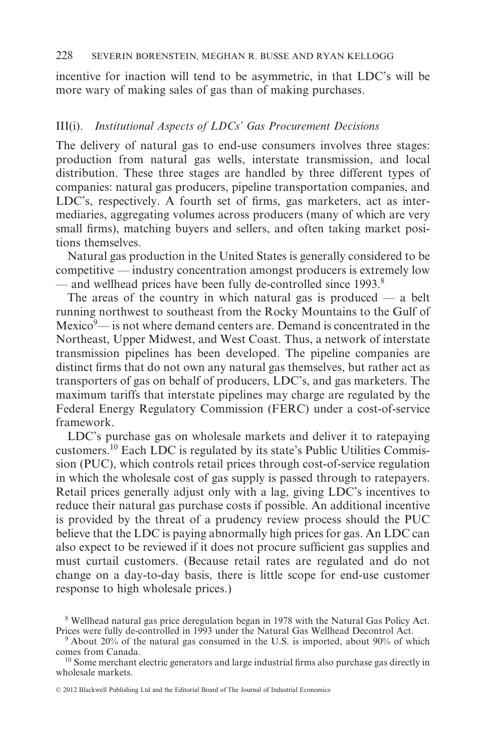incentive for inaction will tend to be asymmetric, in that LDC's will be more wary of making sales of gas than of making purchases.

## III(i). *Institutional Aspects of LDCs' Gas Procurement Decisions*

The delivery of natural gas to end-use consumers involves three stages: production from natural gas wells, interstate transmission, and local distribution. These three stages are handled by three different types of companies: natural gas producers, pipeline transportation companies, and LDC's, respectively. A fourth set of firms, gas marketers, act as intermediaries, aggregating volumes across producers (many of which are very small firms), matching buyers and sellers, and often taking market positions themselves.

Natural gas production in the United States is generally considered to be competitive — industry concentration amongst producers is extremely low — and wellhead prices have been fully de-controlled since 1993.<sup>8</sup>

The areas of the country in which natural gas is produced  $-$  a belt running northwest to southeast from the Rocky Mountains to the Gulf of Mexico<sup>9</sup>— is not where demand centers are. Demand is concentrated in the Northeast, Upper Midwest, and West Coast. Thus, a network of interstate transmission pipelines has been developed. The pipeline companies are distinct firms that do not own any natural gas themselves, but rather act as transporters of gas on behalf of producers, LDC's, and gas marketers. The maximum tariffs that interstate pipelines may charge are regulated by the Federal Energy Regulatory Commission (FERC) under a cost-of-service framework.

LDC's purchase gas on wholesale markets and deliver it to ratepaying customers.<sup>10</sup> Each LDC is regulated by its state's Public Utilities Commission (PUC), which controls retail prices through cost-of-service regulation in which the wholesale cost of gas supply is passed through to ratepayers. Retail prices generally adjust only with a lag, giving LDC's incentives to reduce their natural gas purchase costs if possible. An additional incentive is provided by the threat of a prudency review process should the PUC believe that the LDC is paying abnormally high prices for gas. An LDC can also expect to be reviewed if it does not procure sufficient gas supplies and must curtail customers. (Because retail rates are regulated and do not change on a day-to-day basis, there is little scope for end-use customer response to high wholesale prices.)

<sup>&</sup>lt;sup>8</sup> Wellhead natural gas price deregulation began in 1978 with the Natural Gas Policy Act.<br>Prices were fully de-controlled in 1993 under the Natural Gas Wellhead Decontrol Act.

 $P^9$  About 20% of the natural gas consumed in the U.S. is imported, about 90% of which comes from Canada.

 $10$  Some merchant electric generators and large industrial firms also purchase gas directly in wholesale markets.

<sup>© 2012</sup> Blackwell Publishing Ltd and the Editorial Board of The Journal of Industrial Economics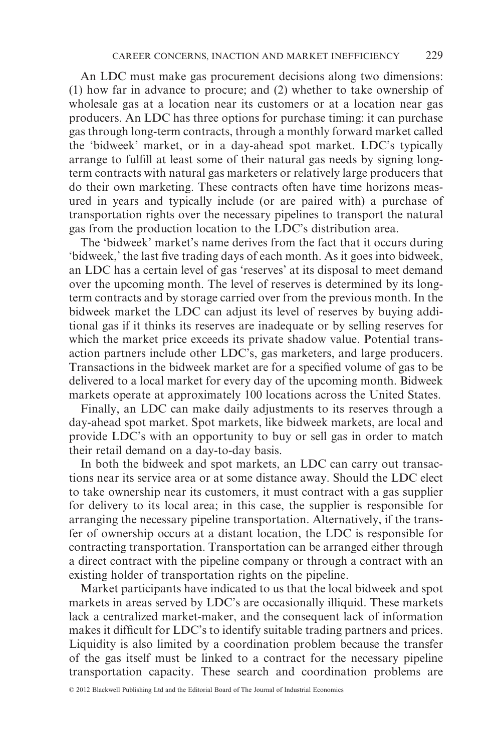An LDC must make gas procurement decisions along two dimensions: (1) how far in advance to procure; and (2) whether to take ownership of wholesale gas at a location near its customers or at a location near gas producers. An LDC has three options for purchase timing: it can purchase gas through long-term contracts, through a monthly forward market called the 'bidweek' market, or in a day-ahead spot market. LDC's typically arrange to fulfill at least some of their natural gas needs by signing longterm contracts with natural gas marketers or relatively large producers that do their own marketing. These contracts often have time horizons measured in years and typically include (or are paired with) a purchase of transportation rights over the necessary pipelines to transport the natural gas from the production location to the LDC's distribution area.

The 'bidweek' market's name derives from the fact that it occurs during 'bidweek,' the last five trading days of each month. As it goes into bidweek, an LDC has a certain level of gas 'reserves' at its disposal to meet demand over the upcoming month. The level of reserves is determined by its longterm contracts and by storage carried over from the previous month. In the bidweek market the LDC can adjust its level of reserves by buying additional gas if it thinks its reserves are inadequate or by selling reserves for which the market price exceeds its private shadow value. Potential transaction partners include other LDC's, gas marketers, and large producers. Transactions in the bidweek market are for a specified volume of gas to be delivered to a local market for every day of the upcoming month. Bidweek markets operate at approximately 100 locations across the United States.

Finally, an LDC can make daily adjustments to its reserves through a day-ahead spot market. Spot markets, like bidweek markets, are local and provide LDC's with an opportunity to buy or sell gas in order to match their retail demand on a day-to-day basis.

In both the bidweek and spot markets, an LDC can carry out transactions near its service area or at some distance away. Should the LDC elect to take ownership near its customers, it must contract with a gas supplier for delivery to its local area; in this case, the supplier is responsible for arranging the necessary pipeline transportation. Alternatively, if the transfer of ownership occurs at a distant location, the LDC is responsible for contracting transportation. Transportation can be arranged either through a direct contract with the pipeline company or through a contract with an existing holder of transportation rights on the pipeline.

Market participants have indicated to us that the local bidweek and spot markets in areas served by LDC's are occasionally illiquid. These markets lack a centralized market-maker, and the consequent lack of information makes it difficult for LDC's to identify suitable trading partners and prices. Liquidity is also limited by a coordination problem because the transfer of the gas itself must be linked to a contract for the necessary pipeline transportation capacity. These search and coordination problems are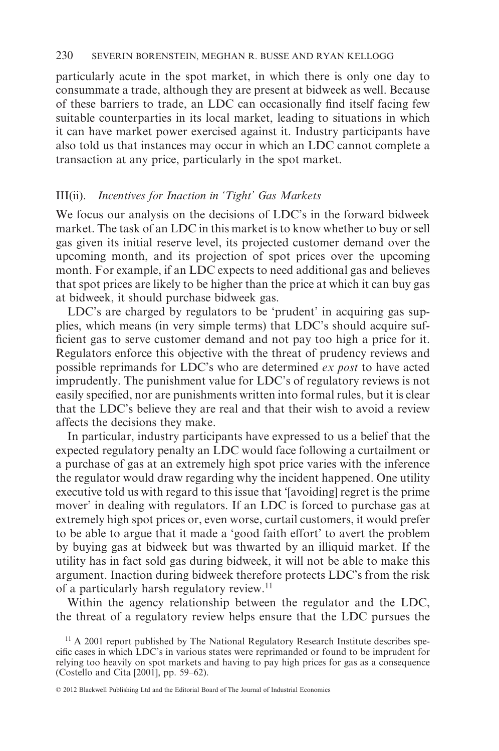particularly acute in the spot market, in which there is only one day to consummate a trade, although they are present at bidweek as well. Because of these barriers to trade, an LDC can occasionally find itself facing few suitable counterparties in its local market, leading to situations in which it can have market power exercised against it. Industry participants have also told us that instances may occur in which an LDC cannot complete a transaction at any price, particularly in the spot market.

## III(ii). *Incentives for Inaction in 'Tight' Gas Markets*

We focus our analysis on the decisions of LDC's in the forward bidweek market. The task of an LDC in this market is to know whether to buy or sell gas given its initial reserve level, its projected customer demand over the upcoming month, and its projection of spot prices over the upcoming month. For example, if an LDC expects to need additional gas and believes that spot prices are likely to be higher than the price at which it can buy gas at bidweek, it should purchase bidweek gas.

LDC's are charged by regulators to be 'prudent' in acquiring gas supplies, which means (in very simple terms) that LDC's should acquire sufficient gas to serve customer demand and not pay too high a price for it. Regulators enforce this objective with the threat of prudency reviews and possible reprimands for LDC's who are determined *ex post* to have acted imprudently. The punishment value for LDC's of regulatory reviews is not easily specified, nor are punishments written into formal rules, but it is clear that the LDC's believe they are real and that their wish to avoid a review affects the decisions they make.

In particular, industry participants have expressed to us a belief that the expected regulatory penalty an LDC would face following a curtailment or a purchase of gas at an extremely high spot price varies with the inference the regulator would draw regarding why the incident happened. One utility executive told us with regard to this issue that '[avoiding] regret is the prime mover' in dealing with regulators. If an LDC is forced to purchase gas at extremely high spot prices or, even worse, curtail customers, it would prefer to be able to argue that it made a 'good faith effort' to avert the problem by buying gas at bidweek but was thwarted by an illiquid market. If the utility has in fact sold gas during bidweek, it will not be able to make this argument. Inaction during bidweek therefore protects LDC's from the risk of a particularly harsh regulatory review.<sup>11</sup>

Within the agency relationship between the regulator and the LDC, the threat of a regulatory review helps ensure that the LDC pursues the

<sup>&</sup>lt;sup>11</sup> A 2001 report published by The National Regulatory Research Institute describes specific cases in which LDC's in various states were reprimanded or found to be imprudent for relying too heavily on spot markets and having to pay high prices for gas as a consequence (Costello and Cita [2001], pp. 59–62).

<sup>© 2012</sup> Blackwell Publishing Ltd and the Editorial Board of The Journal of Industrial Economics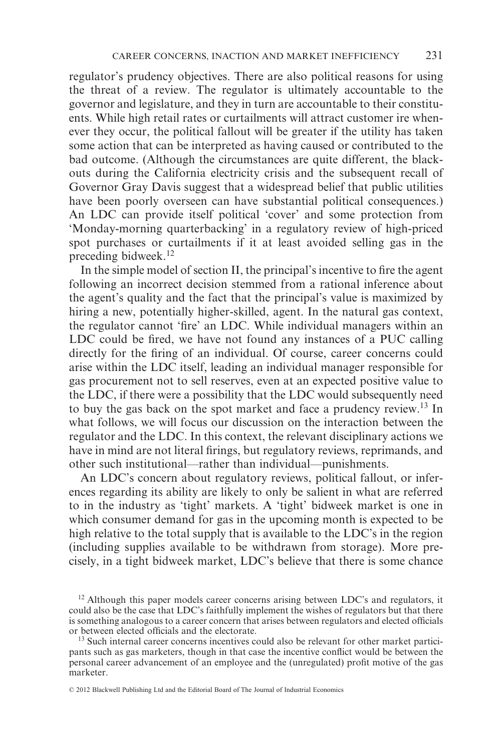regulator's prudency objectives. There are also political reasons for using the threat of a review. The regulator is ultimately accountable to the governor and legislature, and they in turn are accountable to their constituents. While high retail rates or curtailments will attract customer ire whenever they occur, the political fallout will be greater if the utility has taken some action that can be interpreted as having caused or contributed to the bad outcome. (Although the circumstances are quite different, the blackouts during the California electricity crisis and the subsequent recall of Governor Gray Davis suggest that a widespread belief that public utilities have been poorly overseen can have substantial political consequences.) An LDC can provide itself political 'cover' and some protection from 'Monday-morning quarterbacking' in a regulatory review of high-priced spot purchases or curtailments if it at least avoided selling gas in the preceding bidweek.<sup>12</sup>

In the simple model of section II, the principal's incentive to fire the agent following an incorrect decision stemmed from a rational inference about the agent's quality and the fact that the principal's value is maximized by hiring a new, potentially higher-skilled, agent. In the natural gas context, the regulator cannot 'fire' an LDC. While individual managers within an LDC could be fired, we have not found any instances of a PUC calling directly for the firing of an individual. Of course, career concerns could arise within the LDC itself, leading an individual manager responsible for gas procurement not to sell reserves, even at an expected positive value to the LDC, if there were a possibility that the LDC would subsequently need to buy the gas back on the spot market and face a prudency review.<sup>13</sup> In what follows, we will focus our discussion on the interaction between the regulator and the LDC. In this context, the relevant disciplinary actions we have in mind are not literal firings, but regulatory reviews, reprimands, and other such institutional—rather than individual—punishments.

An LDC's concern about regulatory reviews, political fallout, or inferences regarding its ability are likely to only be salient in what are referred to in the industry as 'tight' markets. A 'tight' bidweek market is one in which consumer demand for gas in the upcoming month is expected to be high relative to the total supply that is available to the LDC's in the region (including supplies available to be withdrawn from storage). More precisely, in a tight bidweek market, LDC's believe that there is some chance

 $12$  Although this paper models career concerns arising between LDC's and regulators, it could also be the case that LDC's faithfully implement the wishes of regulators but that there is something analogous to a career concern that arises between regulators and elected officials

 $13$  Such internal career concerns incentives could also be relevant for other market participants such as gas marketers, though in that case the incentive conflict would be between the personal career advancement of an employee and the (unregulated) profit motive of the gas marketer.

<sup>© 2012</sup> Blackwell Publishing Ltd and the Editorial Board of The Journal of Industrial Economics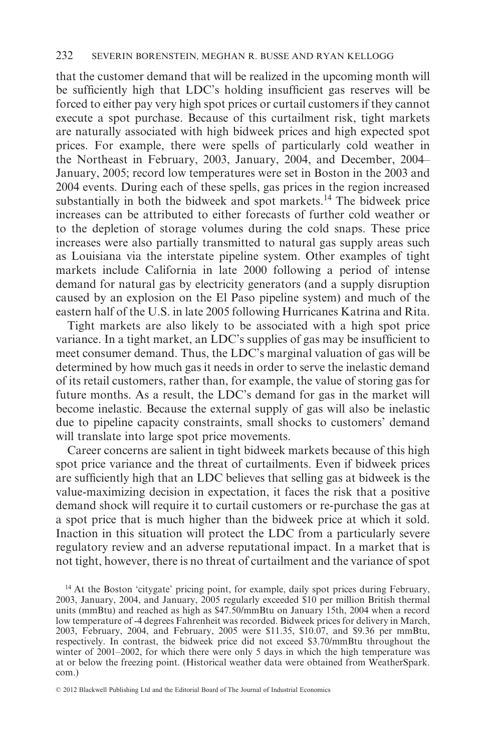that the customer demand that will be realized in the upcoming month will be sufficiently high that LDC's holding insufficient gas reserves will be forced to either pay very high spot prices or curtail customers if they cannot execute a spot purchase. Because of this curtailment risk, tight markets are naturally associated with high bidweek prices and high expected spot prices. For example, there were spells of particularly cold weather in the Northeast in February, 2003, January, 2004, and December, 2004– January, 2005; record low temperatures were set in Boston in the 2003 and 2004 events. During each of these spells, gas prices in the region increased substantially in both the bidweek and spot markets.<sup>14</sup> The bidweek price increases can be attributed to either forecasts of further cold weather or to the depletion of storage volumes during the cold snaps. These price increases were also partially transmitted to natural gas supply areas such as Louisiana via the interstate pipeline system. Other examples of tight markets include California in late 2000 following a period of intense demand for natural gas by electricity generators (and a supply disruption caused by an explosion on the El Paso pipeline system) and much of the eastern half of the U.S. in late 2005 following Hurricanes Katrina and Rita.

Tight markets are also likely to be associated with a high spot price variance. In a tight market, an LDC's supplies of gas may be insufficient to meet consumer demand. Thus, the LDC's marginal valuation of gas will be determined by how much gas it needs in order to serve the inelastic demand of its retail customers, rather than, for example, the value of storing gas for future months. As a result, the LDC's demand for gas in the market will become inelastic. Because the external supply of gas will also be inelastic due to pipeline capacity constraints, small shocks to customers' demand will translate into large spot price movements.

Career concerns are salient in tight bidweek markets because of this high spot price variance and the threat of curtailments. Even if bidweek prices are sufficiently high that an LDC believes that selling gas at bidweek is the value-maximizing decision in expectation, it faces the risk that a positive demand shock will require it to curtail customers or re-purchase the gas at a spot price that is much higher than the bidweek price at which it sold. Inaction in this situation will protect the LDC from a particularly severe regulatory review and an adverse reputational impact. In a market that is not tight, however, there is no threat of curtailment and the variance of spot

<sup>14</sup> At the Boston 'citygate' pricing point, for example, daily spot prices during February, 2003, January, 2004, and January, 2005 regularly exceeded \$10 per million British thermal units (mmBtu) and reached as high as \$47.50/mmBtu on January 15th, 2004 when a record low temperature of -4 degrees Fahrenheit was recorded. Bidweek prices for delivery in March, 2003, February, 2004, and February, 2005 were \$11.35, \$10.07, and \$9.36 per mmBtu, respectively. In contrast, the bidweek price did not exceed \$3.70/mmBtu throughout the winter of 2001–2002, for which there were only 5 days in which the high temperature was at or below the freezing point. (Historical weather data were obtained from WeatherSpark. com.)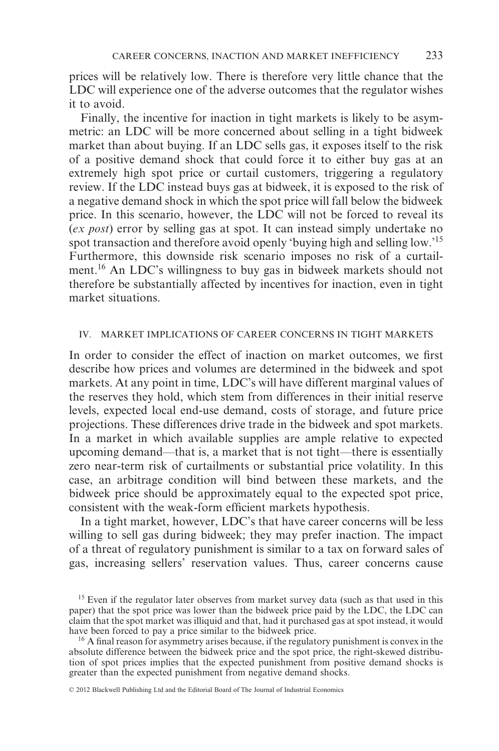prices will be relatively low. There is therefore very little chance that the LDC will experience one of the adverse outcomes that the regulator wishes it to avoid.

Finally, the incentive for inaction in tight markets is likely to be asymmetric: an LDC will be more concerned about selling in a tight bidweek market than about buying. If an LDC sells gas, it exposes itself to the risk of a positive demand shock that could force it to either buy gas at an extremely high spot price or curtail customers, triggering a regulatory review. If the LDC instead buys gas at bidweek, it is exposed to the risk of a negative demand shock in which the spot price will fall below the bidweek price. In this scenario, however, the LDC will not be forced to reveal its (*ex post*) error by selling gas at spot. It can instead simply undertake no spot transaction and therefore avoid openly 'buying high and selling low.'<sup>15</sup> Furthermore, this downside risk scenario imposes no risk of a curtailment.<sup>16</sup> An LDC's willingness to buy gas in bidweek markets should not therefore be substantially affected by incentives for inaction, even in tight market situations.

# IV. MARKET IMPLICATIONS OF CAREER CONCERNS IN TIGHT MARKETS

In order to consider the effect of inaction on market outcomes, we first describe how prices and volumes are determined in the bidweek and spot markets. At any point in time, LDC's will have different marginal values of the reserves they hold, which stem from differences in their initial reserve levels, expected local end-use demand, costs of storage, and future price projections. These differences drive trade in the bidweek and spot markets. In a market in which available supplies are ample relative to expected upcoming demand—that is, a market that is not tight—there is essentially zero near-term risk of curtailments or substantial price volatility. In this case, an arbitrage condition will bind between these markets, and the bidweek price should be approximately equal to the expected spot price, consistent with the weak-form efficient markets hypothesis.

In a tight market, however, LDC's that have career concerns will be less willing to sell gas during bidweek; they may prefer inaction. The impact of a threat of regulatory punishment is similar to a tax on forward sales of gas, increasing sellers' reservation values. Thus, career concerns cause

<sup>&</sup>lt;sup>15</sup> Even if the regulator later observes from market survey data (such as that used in this paper) that the spot price was lower than the bidweek price paid by the LDC, the LDC can claim that the spot market was illiquid and that, had it purchased gas at spot instead, it would have been forced to pay a price similar to the bidweek price.

 $h^6$  A final reason for asymmetry arises because, if the regulatory punishment is convex in the absolute difference between the bidweek price and the spot price, the right-skewed distribution of spot prices implies that the expected punishment from positive demand shocks is greater than the expected punishment from negative demand shocks.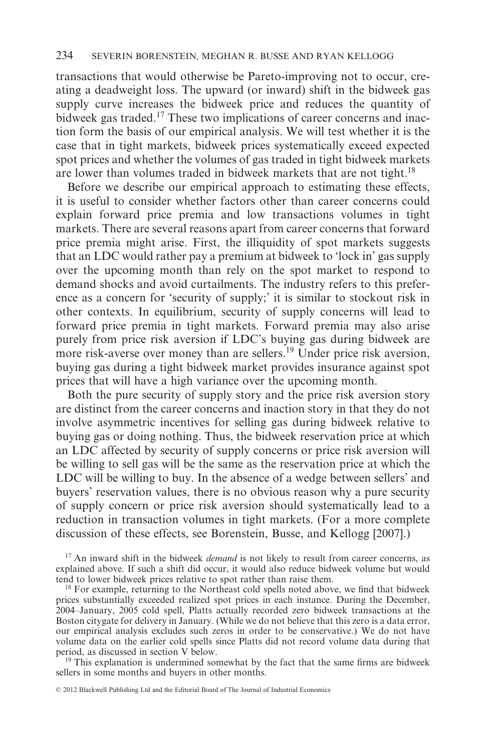transactions that would otherwise be Pareto-improving not to occur, creating a deadweight loss. The upward (or inward) shift in the bidweek gas supply curve increases the bidweek price and reduces the quantity of bidweek gas traded.<sup>17</sup> These two implications of career concerns and inaction form the basis of our empirical analysis. We will test whether it is the case that in tight markets, bidweek prices systematically exceed expected spot prices and whether the volumes of gas traded in tight bidweek markets are lower than volumes traded in bidweek markets that are not tight.<sup>18</sup>

Before we describe our empirical approach to estimating these effects, it is useful to consider whether factors other than career concerns could explain forward price premia and low transactions volumes in tight markets. There are several reasons apart from career concerns that forward price premia might arise. First, the illiquidity of spot markets suggests that an LDC would rather pay a premium at bidweek to 'lock in' gas supply over the upcoming month than rely on the spot market to respond to demand shocks and avoid curtailments. The industry refers to this preference as a concern for 'security of supply;' it is similar to stockout risk in other contexts. In equilibrium, security of supply concerns will lead to forward price premia in tight markets. Forward premia may also arise purely from price risk aversion if LDC's buying gas during bidweek are more risk-averse over money than are sellers.<sup>19</sup> Under price risk aversion, buying gas during a tight bidweek market provides insurance against spot prices that will have a high variance over the upcoming month.

Both the pure security of supply story and the price risk aversion story are distinct from the career concerns and inaction story in that they do not involve asymmetric incentives for selling gas during bidweek relative to buying gas or doing nothing. Thus, the bidweek reservation price at which an LDC affected by security of supply concerns or price risk aversion will be willing to sell gas will be the same as the reservation price at which the LDC will be willing to buy. In the absence of a wedge between sellers' and buyers' reservation values, there is no obvious reason why a pure security of supply concern or price risk aversion should systematically lead to a reduction in transaction volumes in tight markets. (For a more complete discussion of these effects, see Borenstein, Busse, and Kellogg [2007].)

<sup>17</sup> An inward shift in the bidweek *demand* is not likely to result from career concerns, as explained above. If such a shift did occur, it would also reduce bidweek volume but would tend to lower bidweek prices relative to spot rather than raise them.

<sup>18</sup> For example, returning to the Northeast cold spells noted above, we find that bidweek prices substantially exceeded realized spot prices in each instance. During the December, 2004–January, 2005 cold spell, Platts actually recorded zero bidweek transactions at the Boston citygate for delivery in January. (While we do not believe that this zero is a data error, our empirical analysis excludes such zeros in order to be conservative.) We do not have volume data on the earlier cold spells since Platts did not record volume data during that

 $19$  This explanation is undermined somewhat by the fact that the same firms are bidweek sellers in some months and buyers in other months.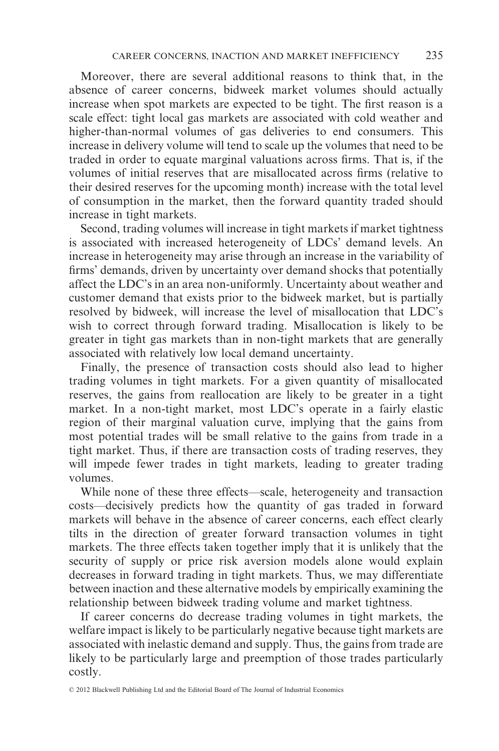Moreover, there are several additional reasons to think that, in the absence of career concerns, bidweek market volumes should actually increase when spot markets are expected to be tight. The first reason is a scale effect: tight local gas markets are associated with cold weather and higher-than-normal volumes of gas deliveries to end consumers. This increase in delivery volume will tend to scale up the volumes that need to be traded in order to equate marginal valuations across firms. That is, if the volumes of initial reserves that are misallocated across firms (relative to their desired reserves for the upcoming month) increase with the total level of consumption in the market, then the forward quantity traded should increase in tight markets.

Second, trading volumes will increase in tight markets if market tightness is associated with increased heterogeneity of LDCs' demand levels. An increase in heterogeneity may arise through an increase in the variability of firms' demands, driven by uncertainty over demand shocks that potentially affect the LDC's in an area non-uniformly. Uncertainty about weather and customer demand that exists prior to the bidweek market, but is partially resolved by bidweek, will increase the level of misallocation that LDC's wish to correct through forward trading. Misallocation is likely to be greater in tight gas markets than in non-tight markets that are generally associated with relatively low local demand uncertainty.

Finally, the presence of transaction costs should also lead to higher trading volumes in tight markets. For a given quantity of misallocated reserves, the gains from reallocation are likely to be greater in a tight market. In a non-tight market, most LDC's operate in a fairly elastic region of their marginal valuation curve, implying that the gains from most potential trades will be small relative to the gains from trade in a tight market. Thus, if there are transaction costs of trading reserves, they will impede fewer trades in tight markets, leading to greater trading volumes.

While none of these three effects—scale, heterogeneity and transaction costs—decisively predicts how the quantity of gas traded in forward markets will behave in the absence of career concerns, each effect clearly tilts in the direction of greater forward transaction volumes in tight markets. The three effects taken together imply that it is unlikely that the security of supply or price risk aversion models alone would explain decreases in forward trading in tight markets. Thus, we may differentiate between inaction and these alternative models by empirically examining the relationship between bidweek trading volume and market tightness.

If career concerns do decrease trading volumes in tight markets, the welfare impact is likely to be particularly negative because tight markets are associated with inelastic demand and supply. Thus, the gains from trade are likely to be particularly large and preemption of those trades particularly costly.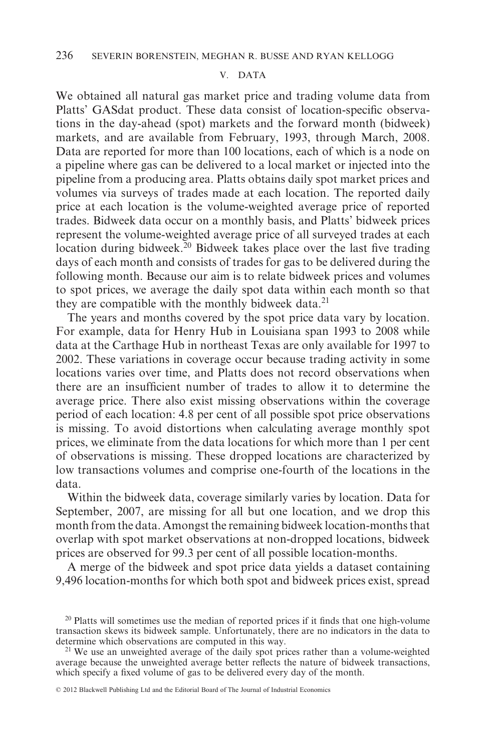#### V. DATA

We obtained all natural gas market price and trading volume data from Platts' GASdat product. These data consist of location-specific observations in the day-ahead (spot) markets and the forward month (bidweek) markets, and are available from February, 1993, through March, 2008. Data are reported for more than 100 locations, each of which is a node on a pipeline where gas can be delivered to a local market or injected into the pipeline from a producing area. Platts obtains daily spot market prices and volumes via surveys of trades made at each location. The reported daily price at each location is the volume-weighted average price of reported trades. Bidweek data occur on a monthly basis, and Platts' bidweek prices represent the volume-weighted average price of all surveyed trades at each location during bidweek.<sup>20</sup> Bidweek takes place over the last five trading days of each month and consists of trades for gas to be delivered during the following month. Because our aim is to relate bidweek prices and volumes to spot prices, we average the daily spot data within each month so that they are compatible with the monthly bidweek data.<sup>21</sup>

The years and months covered by the spot price data vary by location. For example, data for Henry Hub in Louisiana span 1993 to 2008 while data at the Carthage Hub in northeast Texas are only available for 1997 to 2002. These variations in coverage occur because trading activity in some locations varies over time, and Platts does not record observations when there are an insufficient number of trades to allow it to determine the average price. There also exist missing observations within the coverage period of each location: 4.8 per cent of all possible spot price observations is missing. To avoid distortions when calculating average monthly spot prices, we eliminate from the data locations for which more than 1 per cent of observations is missing. These dropped locations are characterized by low transactions volumes and comprise one-fourth of the locations in the data.

Within the bidweek data, coverage similarly varies by location. Data for September, 2007, are missing for all but one location, and we drop this month from the data. Amongst the remaining bidweek location-months that overlap with spot market observations at non-dropped locations, bidweek prices are observed for 99.3 per cent of all possible location-months.

A merge of the bidweek and spot price data yields a dataset containing 9,496 location-months for which both spot and bidweek prices exist, spread

 $20$  Platts will sometimes use the median of reported prices if it finds that one high-volume transaction skews its bidweek sample. Unfortunately, there are no indicators in the data to

 $21$  We use an unweighted average of the daily spot prices rather than a volume-weighted average because the unweighted average better reflects the nature of bidweek transactions, which specify a fixed volume of gas to be delivered every day of the month.

<sup>© 2012</sup> Blackwell Publishing Ltd and the Editorial Board of The Journal of Industrial Economics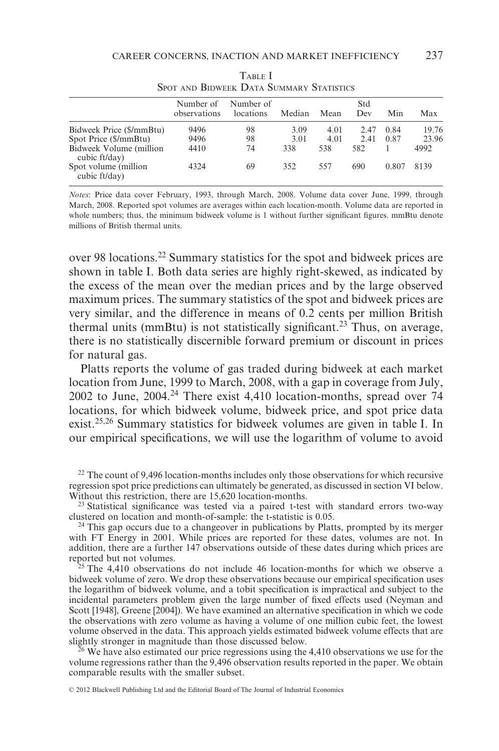| SPOT AND DIDWEEK DATA SUMMARY STATISTICS |                           |                        |        |      |            |       |       |
|------------------------------------------|---------------------------|------------------------|--------|------|------------|-------|-------|
|                                          | Number of<br>observations | Number of<br>locations | Median | Mean | Std<br>Dev | Min   | Max   |
| Bidweek Price (\$/mmBtu)                 | 9496                      | 98                     | 3.09   | 4.01 | 2.47       | 0.84  | 19.76 |
| Spot Price (\$/mmBtu)                    | 9496                      | 98                     | 3.01   | 4.01 | 2.41       | 0.87  | 23.96 |
| Bidweek Volume (million<br>cubic ft/day) | 4410                      | 74                     | 338    | 538  | 582        |       | 4992  |
| Spot volume (million<br>cubic ft/day)    | 4324                      | 69                     | 352    | 557  | 690        | 0.807 | 8139  |

TABLE I SPOT AND BIDWEEK DATA SUMMARY STATISTICS

*Notes*: Price data cover February, 1993, through March, 2008. Volume data cover June, 1999, through March, 2008. Reported spot volumes are averages within each location-month. Volume data are reported in whole numbers; thus, the minimum bidweek volume is 1 without further significant figures. mmBtu denote millions of British thermal units.

over 98 locations.<sup>22</sup> Summary statistics for the spot and bidweek prices are shown in table I. Both data series are highly right-skewed, as indicated by the excess of the mean over the median prices and by the large observed maximum prices. The summary statistics of the spot and bidweek prices are very similar, and the difference in means of 0.2 cents per million British thermal units (mmBtu) is not statistically significant.<sup>23</sup> Thus, on average, there is no statistically discernible forward premium or discount in prices for natural gas.

Platts reports the volume of gas traded during bidweek at each market location from June, 1999 to March, 2008, with a gap in coverage from July, 2002 to June,  $2004.<sup>24</sup>$  There exist 4,410 location-months, spread over  $74$ locations, for which bidweek volume, bidweek price, and spot price data exist.25,26 Summary statistics for bidweek volumes are given in table I. In our empirical specifications, we will use the logarithm of volume to avoid

 $25$  The 4,410 observations do not include 46 location-months for which we observe a bidweek volume of zero. We drop these observations because our empirical specification uses the logarithm of bidweek volume, and a tobit specification is impractical and subject to the incidental parameters problem given the large number of fixed effects used (Neyman and Scott [1948], Greene [2004]). We have examined an alternative specification in which we code the observations with zero volume as having a volume of one million cubic feet, the lowest volume observed in the data. This approach yields estimated bidweek volume effects that are

 $\delta$ <sup>6</sup> We have also estimated our price regressions using the 4,410 observations we use for the volume regressions rather than the 9,496 observation results reported in the paper. We obtain comparable results with the smaller subset.

<sup>&</sup>lt;sup>22</sup> The count of 9,496 location-months includes only those observations for which recursive regression spot price predictions can ultimately be generated, as discussed in section VI below.

<sup>&</sup>lt;sup>23</sup> Statistical significance was tested via a paired t-test with standard errors two-way clustered on location and month-of-sample: the t-statistic is 0.05.

<sup>&</sup>lt;sup>24</sup> This gap occurs due to a changeover in publications by Platts, prompted by its merger with FT Energy in 2001. While prices are reported for these dates, volumes are not. In addition, there are a further 147 observations outside of these dates during which prices are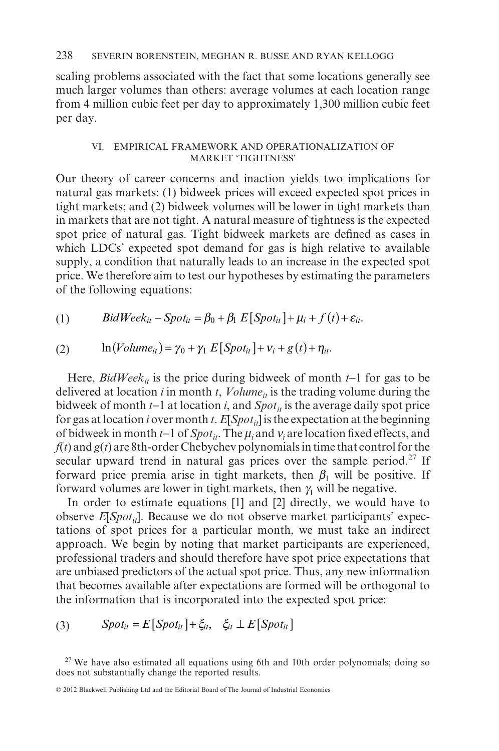scaling problems associated with the fact that some locations generally see much larger volumes than others: average volumes at each location range from 4 million cubic feet per day to approximately 1,300 million cubic feet per day.

#### VI. EMPIRICAL FRAMEWORK AND OPERATIONALIZATION OF MARKET 'TIGHTNESS'

Our theory of career concerns and inaction yields two implications for natural gas markets: (1) bidweek prices will exceed expected spot prices in tight markets; and (2) bidweek volumes will be lower in tight markets than in markets that are not tight. A natural measure of tightness is the expected spot price of natural gas. Tight bidweek markets are defined as cases in which LDCs' expected spot demand for gas is high relative to available supply, a condition that naturally leads to an increase in the expected spot price. We therefore aim to test our hypotheses by estimating the parameters of the following equations:

(1) 
$$
BidWee_{it} - Spot_{it} = \beta_0 + \beta_1 E[Spot_{it}] + \mu_i + f(t) + \varepsilon_{it}.
$$

$$
(2) \qquad \ln(Volume_{it}) = \gamma_0 + \gamma_1 \ E\left[Spot_{it}\right] + v_i + g(t) + \eta_{it}.
$$

Here, *BidWeek<sub>it</sub>* is the price during bidweek of month  $t-1$  for gas to be delivered at location *i* in month *t*,  $Volume_{it}$  is the trading volume during the bidweek of month  $t-1$  at location *i*, and  $Spot_{it}$  is the average daily spot price for gas at location *i* over month *t*.  $E[Spot_{it}]$  is the expectation at the beginning of bidweek in month  $t-1$  of  $Spot_{it}$ . The  $\mu_i$  and  $\nu_i$  are location fixed effects, and *f*(*t*) and *g*(*t*) are 8th-order Chebychev polynomials in time that control for the secular upward trend in natural gas prices over the sample period.<sup>27</sup> If forward price premia arise in tight markets, then  $\beta_1$  will be positive. If forward volumes are lower in tight markets, then  $\gamma_1$  will be negative.

In order to estimate equations [1] and [2] directly, we would have to observe  $E[\textit{Spot}_{it}]$ . Because we do not observe market participants' expectations of spot prices for a particular month, we must take an indirect approach. We begin by noting that market participants are experienced, professional traders and should therefore have spot price expectations that are unbiased predictors of the actual spot price. Thus, any new information that becomes available after expectations are formed will be orthogonal to the information that is incorporated into the expected spot price:

$$
(3) \qquad Spot_{it} = E[Spot_{it}] + \xi_{it}, \quad \xi_{it} \perp E[Spot_{it}]
$$

 $27$  We have also estimated all equations using 6th and 10th order polynomials; doing so does not substantially change the reported results.

<sup>© 2012</sup> Blackwell Publishing Ltd and the Editorial Board of The Journal of Industrial Economics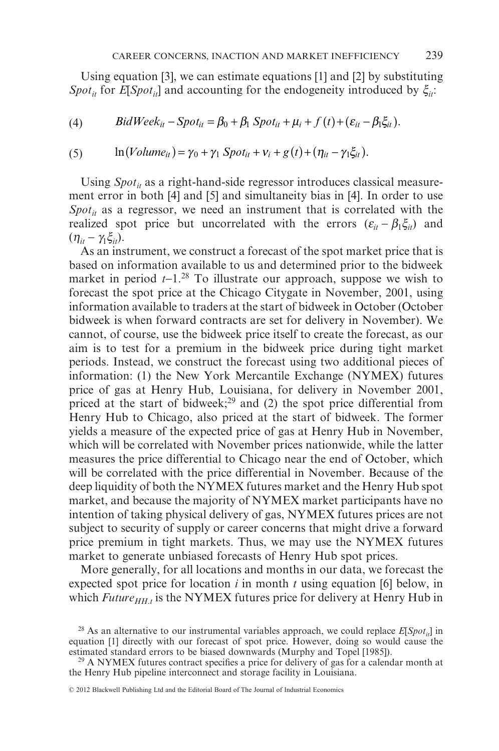Using equation [3], we can estimate equations [1] and [2] by substituting *Spot<sub>it</sub>* for *E*[*Spot<sub>it</sub>*] and accounting for the endogeneity introduced by  $\xi$ <sub>*ii*</sub>:

(4) 
$$
BidWee_{it} - Spot_{it} = \beta_0 + \beta_1 Spot_{it} + \mu_i + f(t) + (\varepsilon_{it} - \beta_1 \xi_{it}).
$$

(5) 
$$
\ln(Volume_{it}) = \gamma_0 + \gamma_1 Spot_{it} + v_i + g(t) + (\eta_{it} - \gamma_1 \xi_{it}).
$$

Using  $Spot_{it}$  as a right-hand-side regressor introduces classical measurement error in both [4] and [5] and simultaneity bias in [4]. In order to use  $Spot<sub>i</sub>$  as a regressor, we need an instrument that is correlated with the realized spot price but uncorrelated with the errors  $(\varepsilon_i - \beta_1 \xi_i)$  and  $(\eta_{it} - \gamma_1 \xi_{it}).$ 

As an instrument, we construct a forecast of the spot market price that is based on information available to us and determined prior to the bidweek market in period  $t-1<sup>28</sup>$  To illustrate our approach, suppose we wish to forecast the spot price at the Chicago Citygate in November, 2001, using information available to traders at the start of bidweek in October (October bidweek is when forward contracts are set for delivery in November). We cannot, of course, use the bidweek price itself to create the forecast, as our aim is to test for a premium in the bidweek price during tight market periods. Instead, we construct the forecast using two additional pieces of information: (1) the New York Mercantile Exchange (NYMEX) futures price of gas at Henry Hub, Louisiana, for delivery in November 2001, priced at the start of bidweek;<sup>29</sup> and (2) the spot price differential from Henry Hub to Chicago, also priced at the start of bidweek. The former yields a measure of the expected price of gas at Henry Hub in November, which will be correlated with November prices nationwide, while the latter measures the price differential to Chicago near the end of October, which will be correlated with the price differential in November. Because of the deep liquidity of both the NYMEX futures market and the Henry Hub spot market, and because the majority of NYMEX market participants have no intention of taking physical delivery of gas, NYMEX futures prices are not subject to security of supply or career concerns that might drive a forward price premium in tight markets. Thus, we may use the NYMEX futures market to generate unbiased forecasts of Henry Hub spot prices.

More generally, for all locations and months in our data, we forecast the expected spot price for location *i* in month *t* using equation [6] below, in which *Future<sub>HH.t</sub>* is the NYMEX futures price for delivery at Henry Hub in

<sup>&</sup>lt;sup>28</sup> As an alternative to our instrumental variables approach, we could replace  $E[Spot_{il}]$  in equation [1] directly with our forecast of spot price. However, doing so would cause the estimated standard errors to be biased downwards (Murphy and Topel [1985]).

 $^{29}$  A NYMEX futures contract specifies a price for delivery of gas for a calendar month at the Henry Hub pipeline interconnect and storage facility in Louisiana.

<sup>© 2012</sup> Blackwell Publishing Ltd and the Editorial Board of The Journal of Industrial Economics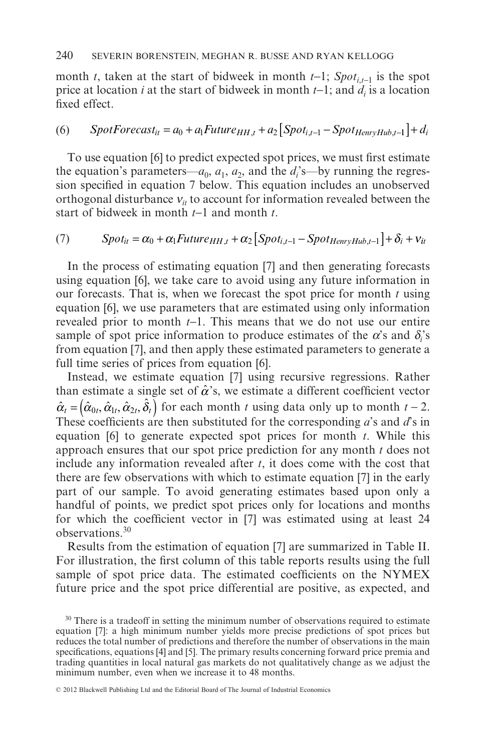month *t*, taken at the start of bidweek in month  $t-1$ ; *Spot*<sub>it-1</sub> is the spot price at location *i* at the start of bidweek in month *t*-1; and *di* is a location fixed effect.

# (6)  $SpotForecast_{it} = a_0 + a_1 Future_{HH,t} + a_2 [Spot_{i,t-1} - Spot_{HenvHub,t-1}] + d_i$

To use equation [6] to predict expected spot prices, we must first estimate the equation's parameters— $a_0$ ,  $a_1$ ,  $a_2$ , and the  $d_i$ 's—by running the regression specified in equation 7 below. This equation includes an unobserved orthogonal disturbance  $v_{it}$  to account for information revealed between the start of bidweek in month *t*-1 and month *t*.

$$
(7) \qquad Spot_{it} = \alpha_0 + \alpha_1 Future_{HH,t} + \alpha_2 \left[Spot_{i,t-1} - Spot_{HenryHub,t-1} \right] + \delta_i + v_{it}
$$

In the process of estimating equation [7] and then generating forecasts using equation [6], we take care to avoid using any future information in our forecasts. That is, when we forecast the spot price for month *t* using equation [6], we use parameters that are estimated using only information revealed prior to month *t*-1. This means that we do not use our entire sample of spot price information to produce estimates of the  $\alpha$ 's and  $\delta_i$ 's from equation [7], and then apply these estimated parameters to generate a full time series of prices from equation [6].

Instead, we estimate equation [7] using recursive regressions. Rather than estimate a single set of  $\hat{\alpha}$ 's, we estimate a different coefficient vector  $\hat{\alpha}_t = (\hat{\alpha}_{0t}, \hat{\alpha}_{1t}, \hat{\alpha}_{2t}, \hat{\delta}_t)$  for each month *t* using data only up to month  $t - 2$ . These coefficients are then substituted for the corresponding *a*'s and *d*'s in equation [6] to generate expected spot prices for month *t*. While this approach ensures that our spot price prediction for any month *t* does not include any information revealed after *t*, it does come with the cost that there are few observations with which to estimate equation [7] in the early part of our sample. To avoid generating estimates based upon only a handful of points, we predict spot prices only for locations and months for which the coefficient vector in [7] was estimated using at least 24 observations.30

Results from the estimation of equation [7] are summarized in Table II. For illustration, the first column of this table reports results using the full sample of spot price data. The estimated coefficients on the NYMEX future price and the spot price differential are positive, as expected, and

<sup>&</sup>lt;sup>30</sup> There is a tradeoff in setting the minimum number of observations required to estimate equation [7]: a high minimum number yields more precise predictions of spot prices but reduces the total number of predictions and therefore the number of observations in the main specifications, equations [4] and [5]. The primary results concerning forward price premia and trading quantities in local natural gas markets do not qualitatively change as we adjust the minimum number, even when we increase it to 48 months.

<sup>© 2012</sup> Blackwell Publishing Ltd and the Editorial Board of The Journal of Industrial Economics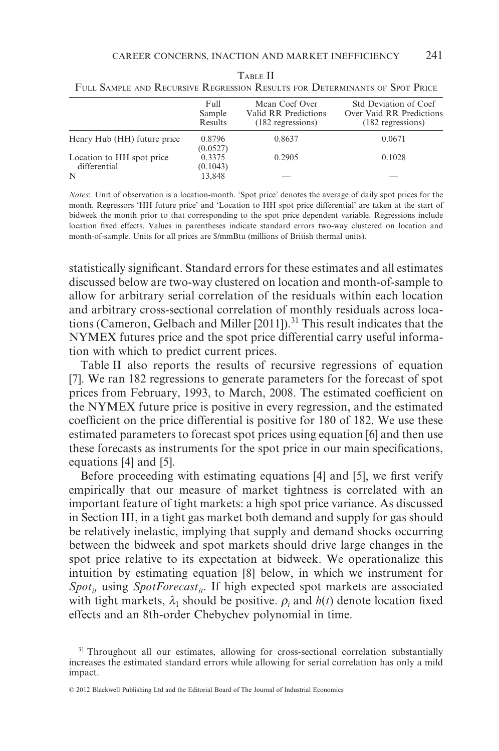|                                           | Full<br>Sample<br>Results | Mean Coef Over<br>Valid RR Predictions<br>(182 regressions) | Std Deviation of Coef<br>Over Vaid RR Predictions<br>$(182)$ regressions) |
|-------------------------------------------|---------------------------|-------------------------------------------------------------|---------------------------------------------------------------------------|
| Henry Hub (HH) future price               | 0.8796<br>(0.0527)        | 0.8637                                                      | 0.0671                                                                    |
| Location to HH spot price<br>differential | 0.3375<br>(0.1043)        | 0.2905                                                      | 0.1028                                                                    |
| N                                         | 13,848                    |                                                             |                                                                           |

TABLE II FULL SAMPLE AND RECURSIVE REGRESSION RESULTS FOR DETERMINANTS OF SPOT PRICE

*Notes*: Unit of observation is a location-month. 'Spot price' denotes the average of daily spot prices for the month. Regressors 'HH future price' and 'Location to HH spot price differential' are taken at the start of bidweek the month prior to that corresponding to the spot price dependent variable. Regressions include location fixed effects. Values in parentheses indicate standard errors two-way clustered on location and month-of-sample. Units for all prices are \$/mmBtu (millions of British thermal units).

statistically significant. Standard errors for these estimates and all estimates discussed below are two-way clustered on location and month-of-sample to allow for arbitrary serial correlation of the residuals within each location and arbitrary cross-sectional correlation of monthly residuals across locations (Cameron, Gelbach and Miller  $[2011]$ ).<sup>31</sup> This result indicates that the NYMEX futures price and the spot price differential carry useful information with which to predict current prices.

Table II also reports the results of recursive regressions of equation [7]. We ran 182 regressions to generate parameters for the forecast of spot prices from February, 1993, to March, 2008. The estimated coefficient on the NYMEX future price is positive in every regression, and the estimated coefficient on the price differential is positive for 180 of 182. We use these estimated parameters to forecast spot prices using equation [6] and then use these forecasts as instruments for the spot price in our main specifications, equations [4] and [5].

Before proceeding with estimating equations [4] and [5], we first verify empirically that our measure of market tightness is correlated with an important feature of tight markets: a high spot price variance. As discussed in Section III, in a tight gas market both demand and supply for gas should be relatively inelastic, implying that supply and demand shocks occurring between the bidweek and spot markets should drive large changes in the spot price relative to its expectation at bidweek. We operationalize this intuition by estimating equation [8] below, in which we instrument for *Spot<sub>it</sub>* using *SpotForecast<sub>it</sub>*. If high expected spot markets are associated with tight markets,  $\lambda_1$  should be positive.  $\rho_i$  and  $h(t)$  denote location fixed effects and an 8th-order Chebychev polynomial in time.

<sup>&</sup>lt;sup>31</sup> Throughout all our estimates, allowing for cross-sectional correlation substantially increases the estimated standard errors while allowing for serial correlation has only a mild impact.

<sup>© 2012</sup> Blackwell Publishing Ltd and the Editorial Board of The Journal of Industrial Economics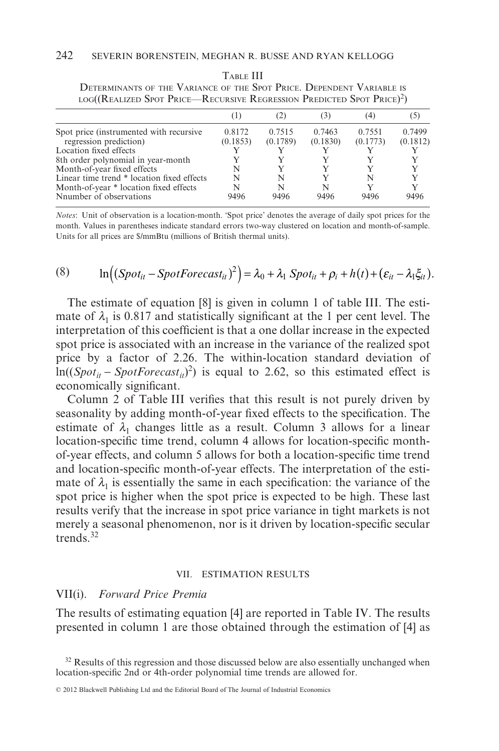| $\perp$                                         |          | (3)      | (4)      | (5)                |
|-------------------------------------------------|----------|----------|----------|--------------------|
| 0.8172                                          | 0.7515   | 0.7463   | 0.7551   | 0.7499<br>(0.1812) |
|                                                 |          |          |          |                    |
|                                                 |          |          |          |                    |
| N                                               |          |          |          |                    |
| Linear time trend * location fixed effects<br>N | N        |          |          |                    |
| N                                               | N        | N        |          | V                  |
| 9496                                            | 9496     | 9496     | 9496     | 9496               |
|                                                 | (0.1853) | (0.1789) | (0.1830) | (0.1773)           |

TABLE III DETERMINANTS OF THE VARIANCE OF THE SPOT PRICE. DEPENDENT VARIABLE IS log((Realized Spot Price—Recursive Regression Predicted Spot Price)<sup>2</sup>)

*Notes*: Unit of observation is a location-month. 'Spot price' denotes the average of daily spot prices for the month. Values in parentheses indicate standard errors two-way clustered on location and month-of-sample. Units for all prices are \$/mmBtu (millions of British thermal units).

(8) 
$$
\ln\left((Spot_{it} - SportForecast_{it})^{2}\right) = \lambda_{0} + \lambda_{1} \;Spot_{it} + \rho_{i} + h(t) + (\varepsilon_{it} - \lambda_{1}\xi_{it}).
$$

The estimate of equation [8] is given in column 1 of table III. The estimate of  $\lambda_1$  is 0.817 and statistically significant at the 1 per cent level. The interpretation of this coefficient is that a one dollar increase in the expected spot price is associated with an increase in the variance of the realized spot price by a factor of 2.26. The within-location standard deviation of  $ln((Spot<sub>it</sub> - SportForecast<sub>it</sub>)<sup>2</sup>)$  is equal to 2.62, so this estimated effect is economically significant.

Column 2 of Table III verifies that this result is not purely driven by seasonality by adding month-of-year fixed effects to the specification. The estimate of  $\lambda_1$  changes little as a result. Column 3 allows for a linear location-specific time trend, column 4 allows for location-specific monthof-year effects, and column 5 allows for both a location-specific time trend and location-specific month-of-year effects. The interpretation of the estimate of  $\lambda_1$  is essentially the same in each specification: the variance of the spot price is higher when the spot price is expected to be high. These last results verify that the increase in spot price variance in tight markets is not merely a seasonal phenomenon, nor is it driven by location-specific secular trends.<sup>32</sup>

# VII. ESTIMATION RESULTS

#### VII(i). *Forward Price Premia*

The results of estimating equation [4] are reported in Table IV. The results presented in column 1 are those obtained through the estimation of [4] as

<sup>&</sup>lt;sup>32</sup> Results of this regression and those discussed below are also essentially unchanged when location-specific 2nd or 4th-order polynomial time trends are allowed for.

<sup>© 2012</sup> Blackwell Publishing Ltd and the Editorial Board of The Journal of Industrial Economics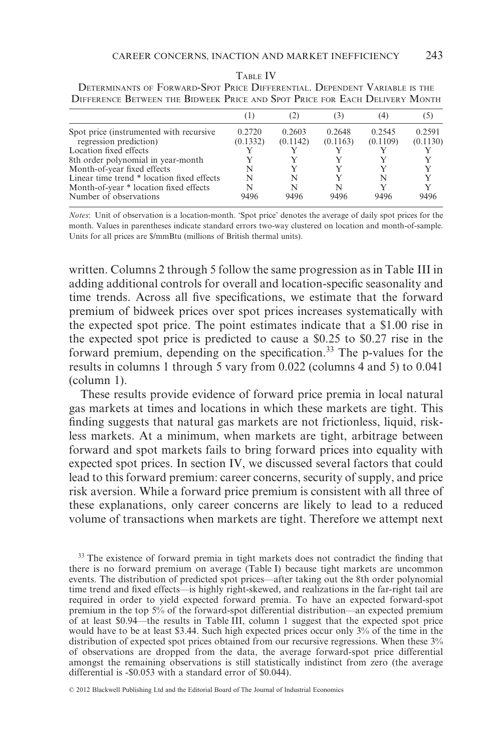|                                            | ( 1 )    |          | (3)      | (4)      | (5)      |
|--------------------------------------------|----------|----------|----------|----------|----------|
| Spot price (instrumented with recursive    | 0.2720   | 0.2603   | 0.2648   | 0.2545   | 0.2591   |
| regression prediction)                     | (0.1332) | (0.1142) | (0.1163) | (0.1109) | (0.1130) |
| Location fixed effects                     |          |          |          |          |          |
| 8th order polynomial in year-month         |          |          |          |          |          |
| Month-of-year fixed effects                | N        |          |          |          | v        |
| Linear time trend * location fixed effects | N        |          |          |          |          |
| Month-of-year * location fixed effects     | N        |          | N        |          |          |
| Number of observations                     | 9496     | 9496     | 9496     | 9496     | 9496     |

TABLE IV DETERMINANTS OF FORWARD-SPOT PRICE DIFFERENTIAL. DEPENDENT VARIABLE IS THE DIFFERENCE BETWEEN THE BIDWEEK PRICE AND SPOT PRICE FOR EACH DELIVERY MONTH

*Notes*: Unit of observation is a location-month. 'Spot price' denotes the average of daily spot prices for the month. Values in parentheses indicate standard errors two-way clustered on location and month-of-sample. Units for all prices are \$/mmBtu (millions of British thermal units).

written. Columns 2 through 5 follow the same progression as in Table III in adding additional controls for overall and location-specific seasonality and time trends. Across all five specifications, we estimate that the forward premium of bidweek prices over spot prices increases systematically with the expected spot price. The point estimates indicate that a \$1.00 rise in the expected spot price is predicted to cause a \$0.25 to \$0.27 rise in the forward premium, depending on the specification.<sup>33</sup> The p-values for the results in columns 1 through 5 vary from 0.022 (columns 4 and 5) to 0.041 (column 1).

These results provide evidence of forward price premia in local natural gas markets at times and locations in which these markets are tight. This finding suggests that natural gas markets are not frictionless, liquid, riskless markets. At a minimum, when markets are tight, arbitrage between forward and spot markets fails to bring forward prices into equality with expected spot prices. In section IV, we discussed several factors that could lead to this forward premium: career concerns, security of supply, and price risk aversion. While a forward price premium is consistent with all three of these explanations, only career concerns are likely to lead to a reduced volume of transactions when markets are tight. Therefore we attempt next

<sup>&</sup>lt;sup>33</sup> The existence of forward premia in tight markets does not contradict the finding that there is no forward premium on average (Table I) because tight markets are uncommon events. The distribution of predicted spot prices—after taking out the 8th order polynomial time trend and fixed effects—is highly right-skewed, and realizations in the far-right tail are required in order to yield expected forward premia. To have an expected forward-spot premium in the top 5% of the forward-spot differential distribution—an expected premium of at least \$0.94—the results in Table III, column 1 suggest that the expected spot price would have to be at least \$3.44. Such high expected prices occur only 3% of the time in the distribution of expected spot prices obtained from our recursive regressions. When these 3% of observations are dropped from the data, the average forward-spot price differential amongst the remaining observations is still statistically indistinct from zero (the average differential is -\$0.053 with a standard error of \$0.044).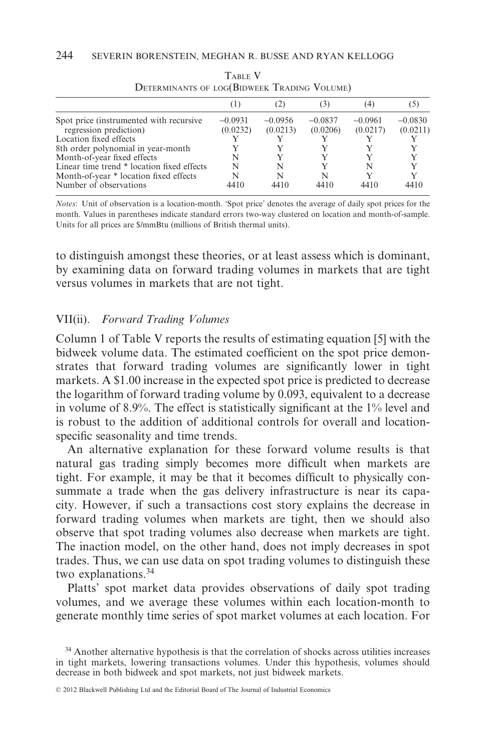| (4)<br>(2)<br>(3)<br>(5)<br>(1)<br>Spot price (instrumented with recursive<br>$-0.0931$<br>$-0.0956$<br>$-0.0837$<br>$-0.0961$<br>(0.0232)<br>regression prediction)<br>(0.0206)<br>(0.0217)<br>(0.0213)<br>Location fixed effects<br>8th order polynomial in year-month<br>V<br>v<br>v<br>Month-of-year fixed effects<br>N<br>Linear time trend * location fixed effects<br>N<br>N<br>N<br>V<br>V<br>Month-of-year * location fixed effects<br>Y<br>N<br>N<br>N<br>Number of observations<br>4410<br>4410<br>4410<br>4410<br>4410 |  |  |                       |
|------------------------------------------------------------------------------------------------------------------------------------------------------------------------------------------------------------------------------------------------------------------------------------------------------------------------------------------------------------------------------------------------------------------------------------------------------------------------------------------------------------------------------------|--|--|-----------------------|
|                                                                                                                                                                                                                                                                                                                                                                                                                                                                                                                                    |  |  |                       |
|                                                                                                                                                                                                                                                                                                                                                                                                                                                                                                                                    |  |  | $-0.0830$<br>(0.0211) |
|                                                                                                                                                                                                                                                                                                                                                                                                                                                                                                                                    |  |  |                       |
|                                                                                                                                                                                                                                                                                                                                                                                                                                                                                                                                    |  |  |                       |
|                                                                                                                                                                                                                                                                                                                                                                                                                                                                                                                                    |  |  |                       |
|                                                                                                                                                                                                                                                                                                                                                                                                                                                                                                                                    |  |  |                       |
|                                                                                                                                                                                                                                                                                                                                                                                                                                                                                                                                    |  |  |                       |
|                                                                                                                                                                                                                                                                                                                                                                                                                                                                                                                                    |  |  |                       |

|                                             | <b>TABLE V</b> |  |
|---------------------------------------------|----------------|--|
| DETERMINANTS OF LOG(BIDWEEK TRADING VOLUME) |                |  |

*Notes*: Unit of observation is a location-month. 'Spot price' denotes the average of daily spot prices for the month. Values in parentheses indicate standard errors two-way clustered on location and month-of-sample. Units for all prices are \$/mmBtu (millions of British thermal units).

to distinguish amongst these theories, or at least assess which is dominant, by examining data on forward trading volumes in markets that are tight versus volumes in markets that are not tight.

# VII(ii). *Forward Trading Volumes*

Column 1 of Table V reports the results of estimating equation [5] with the bidweek volume data. The estimated coefficient on the spot price demonstrates that forward trading volumes are significantly lower in tight markets. A \$1.00 increase in the expected spot price is predicted to decrease the logarithm of forward trading volume by 0.093, equivalent to a decrease in volume of 8.9%. The effect is statistically significant at the 1% level and is robust to the addition of additional controls for overall and locationspecific seasonality and time trends.

An alternative explanation for these forward volume results is that natural gas trading simply becomes more difficult when markets are tight. For example, it may be that it becomes difficult to physically consummate a trade when the gas delivery infrastructure is near its capacity. However, if such a transactions cost story explains the decrease in forward trading volumes when markets are tight, then we should also observe that spot trading volumes also decrease when markets are tight. The inaction model, on the other hand, does not imply decreases in spot trades. Thus, we can use data on spot trading volumes to distinguish these two explanations.<sup>34</sup>

Platts' spot market data provides observations of daily spot trading volumes, and we average these volumes within each location-month to generate monthly time series of spot market volumes at each location. For

<sup>&</sup>lt;sup>34</sup> Another alternative hypothesis is that the correlation of shocks across utilities increases in tight markets, lowering transactions volumes. Under this hypothesis, volumes should decrease in both bidweek and spot markets, not just bidweek markets.

<sup>© 2012</sup> Blackwell Publishing Ltd and the Editorial Board of The Journal of Industrial Economics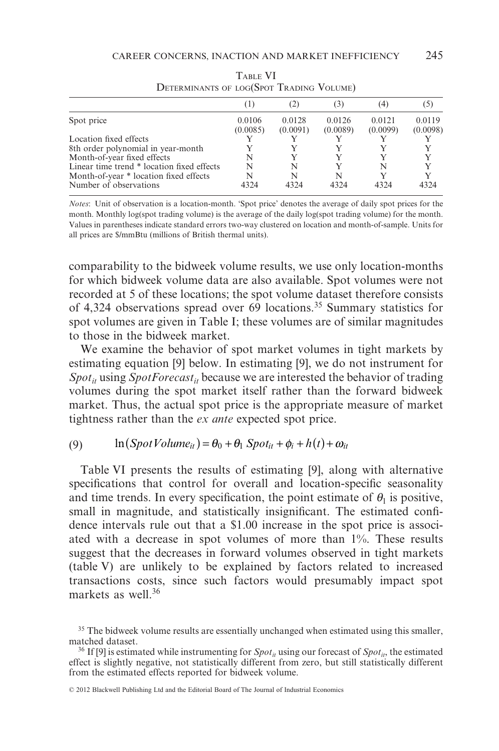|                                            | (1)                | (2)                | (3)                | (4)                | (5)                |
|--------------------------------------------|--------------------|--------------------|--------------------|--------------------|--------------------|
| Spot price                                 | 0.0106<br>(0.0085) | 0.0128<br>(0.0091) | 0.0126<br>(0.0089) | 0.0121<br>(0.0099) | 0.0119<br>(0.0098) |
| Location fixed effects                     |                    |                    |                    |                    |                    |
| 8th order polynomial in year-month         | V                  |                    |                    |                    | Y                  |
| Month-of-year fixed effects                | N                  |                    |                    |                    |                    |
| Linear time trend * location fixed effects | N                  | N                  | Y                  | N                  |                    |
| Month-of-year * location fixed effects     | N                  | N                  | N                  |                    |                    |
| Number of observations                     | 4324               | 4324               | 4324               | 4324               | 4324               |
|                                            |                    |                    |                    |                    |                    |

TABLE VI DETERMINANTS OF LOG(SPOT TRADING VOLUME)

*Notes*: Unit of observation is a location-month. 'Spot price' denotes the average of daily spot prices for the month. Monthly log(spot trading volume) is the average of the daily log(spot trading volume) for the month. Values in parentheses indicate standard errors two-way clustered on location and month-of-sample. Units for all prices are \$/mmBtu (millions of British thermal units).

comparability to the bidweek volume results, we use only location-months for which bidweek volume data are also available. Spot volumes were not recorded at 5 of these locations; the spot volume dataset therefore consists of 4,324 observations spread over 69 locations.<sup>35</sup> Summary statistics for spot volumes are given in Table I; these volumes are of similar magnitudes to those in the bidweek market.

We examine the behavior of spot market volumes in tight markets by estimating equation [9] below. In estimating [9], we do not instrument for  $Spot_{it}$  using  $SpotForest_{it}$  because we are interested the behavior of trading volumes during the spot market itself rather than the forward bidweek market. Thus, the actual spot price is the appropriate measure of market tightness rather than the *ex ante* expected spot price.

# (9)  $\ln(SpotVolume_{it}) = \theta_0 + \theta_1 Spot_{it} + \phi_i + h(t) + \omega_{it}$

Table VI presents the results of estimating [9], along with alternative specifications that control for overall and location-specific seasonality and time trends. In every specification, the point estimate of  $\theta_1$  is positive, small in magnitude, and statistically insignificant. The estimated confidence intervals rule out that a \$1.00 increase in the spot price is associated with a decrease in spot volumes of more than 1%. These results suggest that the decreases in forward volumes observed in tight markets (table V) are unlikely to be explained by factors related to increased transactions costs, since such factors would presumably impact spot markets as well.<sup>36</sup>

 $35$  The bidweek volume results are essentially unchanged when estimated using this smaller, matched dataset.

<sup>&</sup>lt;sup>36</sup> If [9] is estimated while instrumenting for  $Spot<sub>i</sub>$  using our forecast of  $Spot<sub>i</sub>$ , the estimated effect is slightly negative, not statistically different from zero, but still statistically different from the estimated effects reported for bidweek volume.

<sup>© 2012</sup> Blackwell Publishing Ltd and the Editorial Board of The Journal of Industrial Economics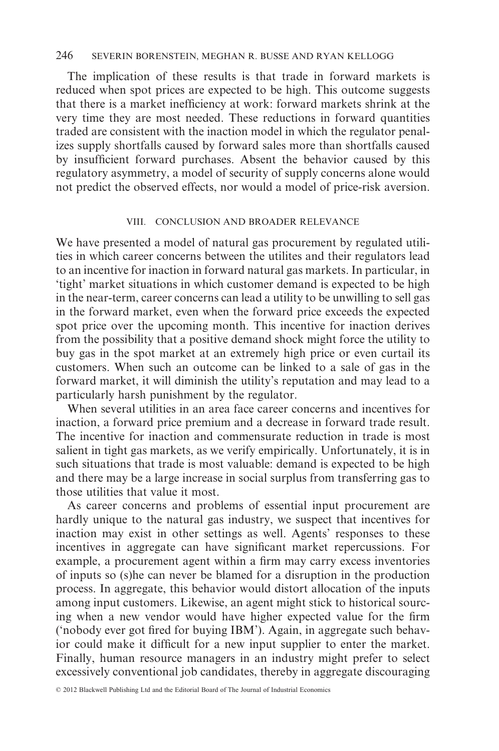# 246 SEVERIN BORENSTEIN, MEGHAN R. BUSSE AND RYAN KELLOGG

The implication of these results is that trade in forward markets is reduced when spot prices are expected to be high. This outcome suggests that there is a market inefficiency at work: forward markets shrink at the very time they are most needed. These reductions in forward quantities traded are consistent with the inaction model in which the regulator penalizes supply shortfalls caused by forward sales more than shortfalls caused by insufficient forward purchases. Absent the behavior caused by this regulatory asymmetry, a model of security of supply concerns alone would not predict the observed effects, nor would a model of price-risk aversion.

# VIII. CONCLUSION AND BROADER RELEVANCE

We have presented a model of natural gas procurement by regulated utilities in which career concerns between the utilites and their regulators lead to an incentive for inaction in forward natural gas markets. In particular, in 'tight' market situations in which customer demand is expected to be high in the near-term, career concerns can lead a utility to be unwilling to sell gas in the forward market, even when the forward price exceeds the expected spot price over the upcoming month. This incentive for inaction derives from the possibility that a positive demand shock might force the utility to buy gas in the spot market at an extremely high price or even curtail its customers. When such an outcome can be linked to a sale of gas in the forward market, it will diminish the utility's reputation and may lead to a particularly harsh punishment by the regulator.

When several utilities in an area face career concerns and incentives for inaction, a forward price premium and a decrease in forward trade result. The incentive for inaction and commensurate reduction in trade is most salient in tight gas markets, as we verify empirically. Unfortunately, it is in such situations that trade is most valuable: demand is expected to be high and there may be a large increase in social surplus from transferring gas to those utilities that value it most.

As career concerns and problems of essential input procurement are hardly unique to the natural gas industry, we suspect that incentives for inaction may exist in other settings as well. Agents' responses to these incentives in aggregate can have significant market repercussions. For example, a procurement agent within a firm may carry excess inventories of inputs so (s)he can never be blamed for a disruption in the production process. In aggregate, this behavior would distort allocation of the inputs among input customers. Likewise, an agent might stick to historical sourcing when a new vendor would have higher expected value for the firm ('nobody ever got fired for buying IBM'). Again, in aggregate such behavior could make it difficult for a new input supplier to enter the market. Finally, human resource managers in an industry might prefer to select excessively conventional job candidates, thereby in aggregate discouraging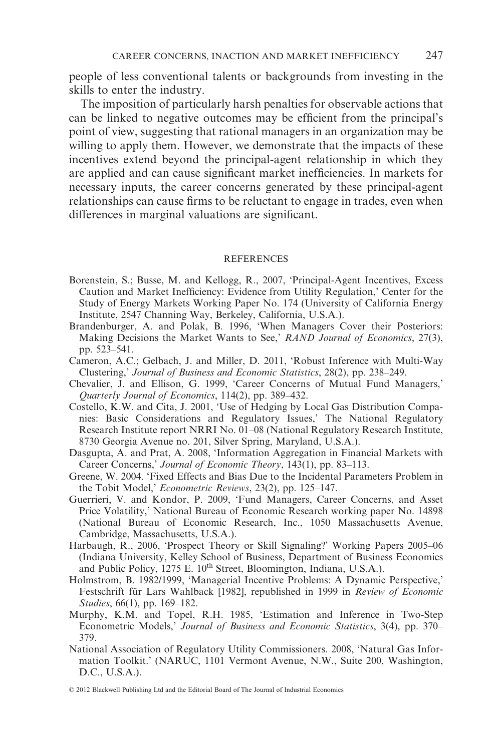people of less conventional talents or backgrounds from investing in the skills to enter the industry.

The imposition of particularly harsh penalties for observable actions that can be linked to negative outcomes may be efficient from the principal's point of view, suggesting that rational managers in an organization may be willing to apply them. However, we demonstrate that the impacts of these incentives extend beyond the principal-agent relationship in which they are applied and can cause significant market inefficiencies. In markets for necessary inputs, the career concerns generated by these principal-agent relationships can cause firms to be reluctant to engage in trades, even when differences in marginal valuations are significant.

#### REFERENCES

- Borenstein, S.; Busse, M. and Kellogg, R., 2007, 'Principal-Agent Incentives, Excess Caution and Market Inefficiency: Evidence from Utility Regulation,' Center for the Study of Energy Markets Working Paper No. 174 (University of California Energy Institute, 2547 Channing Way, Berkeley, California, U.S.A.).
- Brandenburger, A. and Polak, B. 1996, 'When Managers Cover their Posteriors: Making Decisions the Market Wants to See,' *RAND Journal of Economics*, 27(3), pp. 523–541.
- Cameron, A.C.; Gelbach, J. and Miller, D. 2011, 'Robust Inference with Multi-Way Clustering,' *Journal of Business and Economic Statistics*, 28(2), pp. 238–249.
- Chevalier, J. and Ellison, G. 1999, 'Career Concerns of Mutual Fund Managers,' *Quarterly Journal of Economics*, 114(2), pp. 389–432.
- Costello, K.W. and Cita, J. 2001, 'Use of Hedging by Local Gas Distribution Companies: Basic Considerations and Regulatory Issues,' The National Regulatory Research Institute report NRRI No. 01–08 (National Regulatory Research Institute, 8730 Georgia Avenue no. 201, Silver Spring, Maryland, U.S.A.).
- Dasgupta, A. and Prat, A. 2008, 'Information Aggregation in Financial Markets with Career Concerns,' *Journal of Economic Theory*, 143(1), pp. 83–113.
- Greene, W. 2004. 'Fixed Effects and Bias Due to the Incidental Parameters Problem in the Tobit Model,' *Econometric Reviews*, 23(2), pp. 125–147.
- Guerrieri, V. and Kondor, P. 2009, 'Fund Managers, Career Concerns, and Asset Price Volatility,' National Bureau of Economic Research working paper No. 14898 (National Bureau of Economic Research, Inc., 1050 Massachusetts Avenue, Cambridge, Massachusetts, U.S.A.).
- Harbaugh, R., 2006, 'Prospect Theory or Skill Signaling?' Working Papers 2005–06 (Indiana University, Kelley School of Business, Department of Business Economics and Public Policy, 1275 E. 10<sup>th</sup> Street, Bloomington, Indiana, U.S.A.).
- Holmstrom, B. 1982/1999, 'Managerial Incentive Problems: A Dynamic Perspective,' Festschrift für Lars Wahlback [1982], republished in 1999 in *Review of Economic Studies*, 66(1), pp. 169–182.
- Murphy, K.M. and Topel, R.H. 1985, 'Estimation and Inference in Two-Step Econometric Models,' *Journal of Business and Economic Statistics*, 3(4), pp. 370– 379.
- National Association of Regulatory Utility Commissioners. 2008, 'Natural Gas Information Toolkit.' (NARUC, 1101 Vermont Avenue, N.W., Suite 200, Washington, D.C., U.S.A.).

<sup>© 2012</sup> Blackwell Publishing Ltd and the Editorial Board of The Journal of Industrial Economics